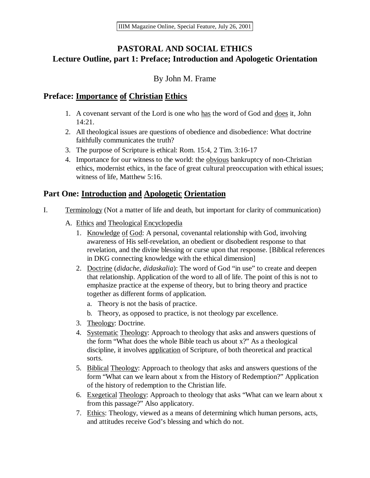# **PASTORAL AND SOCIAL ETHICS Lecture Outline, part 1: Preface; Introduction and Apologetic Orientation**

## By John M. Frame

## **Preface: Importance of Christian Ethics**

- 1. A covenant servant of the Lord is one who has the word of God and does it, John 14:21.
- 2. All theological issues are questions of obedience and disobedience: What doctrine faithfully communicates the truth?
- 3. The purpose of Scripture is ethical: Rom. 15:4, 2 Tim. 3:16-17
- 4. Importance for our witness to the world: the obvious bankruptcy of non-Christian ethics, modernist ethics, in the face of great cultural preoccupation with ethical issues; witness of life, Matthew 5:16.

# **Part One: Introduction and Apologetic Orientation**

- I. Terminology (Not a matter of life and death, but important for clarity of communication)
	- A. Ethics and Theological Encyclopedia
		- 1. Knowledge of God: A personal, covenantal relationship with God, involving awareness of His self-revelation, an obedient or disobedient response to that revelation, and the divine blessing or curse upon that response. [Biblical references in DKG connecting knowledge with the ethical dimension]
		- 2. Doctrine (*didache*, *didaskalia*): The word of God "in use" to create and deepen that relationship. Application of the word to all of life. The point of this is not to emphasize practice at the expense of theory, but to bring theory and practice together as different forms of application.
			- a. Theory is not the basis of practice.
			- b. Theory, as opposed to practice, is not theology par excellence.
		- 3. Theology: Doctrine.
		- 4. Systematic Theology: Approach to theology that asks and answers questions of the form "What does the whole Bible teach us about x?" As a theological discipline, it involves application of Scripture, of both theoretical and practical sorts.
		- 5. Biblical Theology: Approach to theology that asks and answers questions of the form "What can we learn about x from the History of Redemption?" Application of the history of redemption to the Christian life.
		- 6. Exegetical Theology: Approach to theology that asks "What can we learn about x from this passage?" Also applicatory.
		- 7. Ethics: Theology, viewed as a means of determining which human persons, acts, and attitudes receive God's blessing and which do not.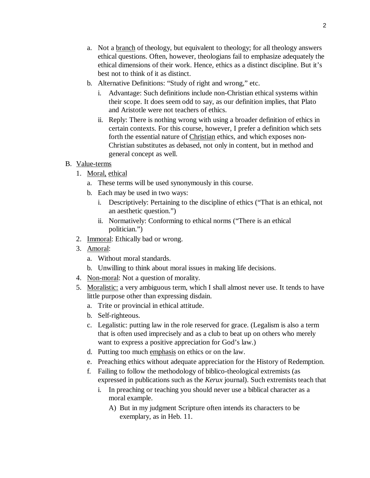- a. Not a branch of theology, but equivalent to theology; for all theology answers ethical questions. Often, however, theologians fail to emphasize adequately the ethical dimensions of their work. Hence, ethics as a distinct discipline. But it's best not to think of it as distinct.
- b. Alternative Definitions: "Study of right and wrong," etc.
	- i. Advantage: Such definitions include non-Christian ethical systems within their scope. It does seem odd to say, as our definition implies, that Plato and Aristotle were not teachers of ethics.
	- ii. Reply: There is nothing wrong with using a broader definition of ethics in certain contexts. For this course, however, I prefer a definition which sets forth the essential nature of Christian ethics, and which exposes non-Christian substitutes as debased, not only in content, but in method and general concept as well.

#### B. Value-terms

- 1. Moral, ethical
	- a. These terms will be used synonymously in this course.
	- b. Each may be used in two ways:
		- i. Descriptively: Pertaining to the discipline of ethics ("That is an ethical, not an aesthetic question.")
		- ii. Normatively: Conforming to ethical norms ("There is an ethical politician.")
- 2. Immoral: Ethically bad or wrong.
- 3. Amoral:
	- a. Without moral standards.
	- b. Unwilling to think about moral issues in making life decisions.
- 4. Non-moral: Not a question of morality.
- 5. Moralistic: a very ambiguous term, which I shall almost never use. It tends to have little purpose other than expressing disdain.
	- a. Trite or provincial in ethical attitude.
	- b. Self-righteous.
	- c. Legalistic: putting law in the role reserved for grace. (Legalism is also a term that is often used imprecisely and as a club to beat up on others who merely want to express a positive appreciation for God's law.)
	- d. Putting too much emphasis on ethics or on the law.
	- e. Preaching ethics without adequate appreciation for the History of Redemption.
	- f. Failing to follow the methodology of biblico-theological extremists (as expressed in publications such as the *Kerux* journal). Such extremists teach that
		- i. In preaching or teaching you should never use a biblical character as a moral example.
			- A) But in my judgment Scripture often intends its characters to be exemplary, as in Heb. 11.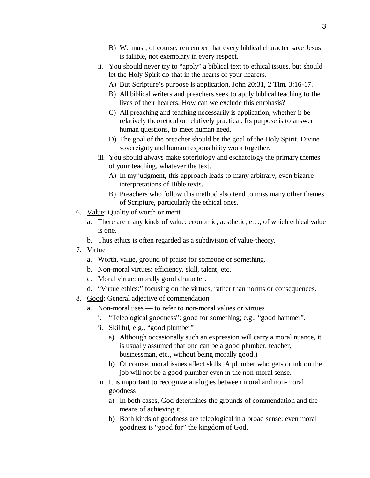- B) We must, of course, remember that every biblical character save Jesus is fallible, not exemplary in every respect.
- ii. You should never try to "apply" a biblical text to ethical issues, but should let the Holy Spirit do that in the hearts of your hearers.
	- A) But Scripture's purpose is application, John 20:31, 2 Tim. 3:16-17.
	- B) All biblical writers and preachers seek to apply biblical teaching to the lives of their hearers. How can we exclude this emphasis?
	- C) All preaching and teaching necessarily is application, whether it be relatively theoretical or relatively practical. Its purpose is to answer human questions, to meet human need.
	- D) The goal of the preacher should be the goal of the Holy Spirit. Divine sovereignty and human responsibility work together.
- iii. You should always make soteriology and eschatology the primary themes of your teaching, whatever the text.
	- A) In my judgment, this approach leads to many arbitrary, even bizarre interpretations of Bible texts.
	- B) Preachers who follow this method also tend to miss many other themes of Scripture, particularly the ethical ones.
- 6. Value: Quality of worth or merit
	- a. There are many kinds of value: economic, aesthetic, etc., of which ethical value is one.
	- b. Thus ethics is often regarded as a subdivision of value-theory.
- 7. Virtue
	- a. Worth, value, ground of praise for someone or something.
	- b. Non-moral virtues: efficiency, skill, talent, etc.
	- c. Moral virtue: morally good character.
	- d. "Virtue ethics:" focusing on the virtues, rather than norms or consequences.
- 8. Good: General adjective of commendation
	- a. Non-moral uses to refer to non-moral values or virtues
		- i. "Teleological goodness": good for something; e.g., "good hammer".
		- ii. Skillful, e.g., "good plumber"
			- a) Although occasionally such an expression will carry a moral nuance, it is usually assumed that one can be a good plumber, teacher, businessman, etc., without being morally good.)
			- b) Of course, moral issues affect skills. A plumber who gets drunk on the job will not be a good plumber even in the non-moral sense.
		- iii. It is important to recognize analogies between moral and non-moral goodness
			- a) In both cases, God determines the grounds of commendation and the means of achieving it.
			- b) Both kinds of goodness are teleological in a broad sense: even moral goodness is "good for" the kingdom of God.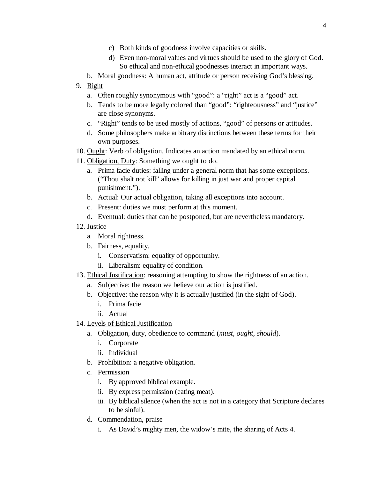- c) Both kinds of goodness involve capacities or skills.
- d) Even non-moral values and virtues should be used to the glory of God. So ethical and non-ethical goodnesses interact in important ways.
- b. Moral goodness: A human act, attitude or person receiving God's blessing.
- 9. Right
	- a. Often roughly synonymous with "good": a "right" act is a "good" act.
	- b. Tends to be more legally colored than "good": "righteousness" and "justice" are close synonyms.
	- c. "Right" tends to be used mostly of actions, "good" of persons or attitudes.
	- d. Some philosophers make arbitrary distinctions between these terms for their own purposes.
- 10. Ought: Verb of obligation. Indicates an action mandated by an ethical norm.
- 11. Obligation, Duty: Something we ought to do.
	- a. Prima facie duties: falling under a general norm that has some exceptions. ("Thou shalt not kill" allows for killing in just war and proper capital punishment.").
	- b. Actual: Our actual obligation, taking all exceptions into account.
	- c. Present: duties we must perform at this moment.
	- d. Eventual: duties that can be postponed, but are nevertheless mandatory.
- 12. Justice
	- a. Moral rightness.
	- b. Fairness, equality.
		- i. Conservatism: equality of opportunity.
		- ii. Liberalism: equality of condition.
- 13. Ethical Justification: reasoning attempting to show the rightness of an action.
	- a. Subjective: the reason we believe our action is justified.
	- b. Objective: the reason why it is actually justified (in the sight of God).
		- i. Prima facie
		- ii. Actual
- 14. Levels of Ethical Justification
	- a. Obligation, duty, obedience to command (*must, ought, should*).
		- i. Corporate
		- ii. Individual
	- b. Prohibition: a negative obligation.
	- c. Permission
		- i. By approved biblical example.
		- ii. By express permission (eating meat).
		- iii. By biblical silence (when the act is not in a category that Scripture declares to be sinful).
	- d. Commendation, praise
		- i. As David's mighty men, the widow's mite, the sharing of Acts 4.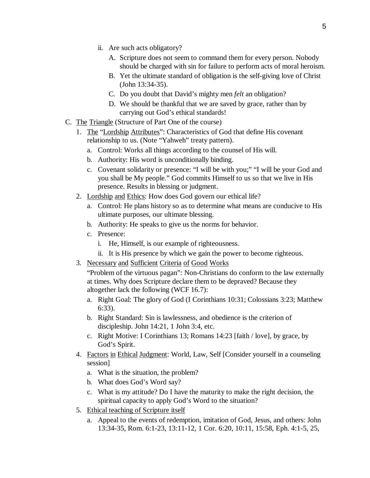- ii. Are such acts obligatory?
	- A. Scripture does not seem to command them for every person. Nobody should be charged with sin for failure to perform acts of moral heroism.
	- B. Yet the ultimate standard of obligation is the self-giving love of Christ (John 13:34-35).
	- C. Do you doubt that David's mighty men *felt* an obligation?
	- D. We should be thankful that we are saved by grace, rather than by carrying out God's ethical standards!
- C. The Triangle (Structure of Part One of the course)
	- 1. The "Lordship Attributes": Characteristics of God that define His covenant relationship to us. (Note "Yahweh" treaty pattern).
		- a. Control: Works all things according to the counsel of His will.
		- b. Authority: His word is unconditionally binding.
		- c. Covenant solidarity or presence: "I will be with you;" "I will be your God and you shall be My people." God commits Himself to us so that we live in His presence. Results in blessing or judgment.
	- 2. Lordship and Ethics: How does God govern our ethical life?
		- a. Control: He plans history so as to determine what means are conducive to His ultimate purposes, our ultimate blessing.
		- b. Authority: He speaks to give us the norms for behavior.
		- c. Presence:
			- i. He, Himself, is our example of righteousness.
			- ii. It is His presence by which we gain the power to become righteous.
	- 3. Necessary and Sufficient Criteria of Good Works

"Problem of the virtuous pagan": Non-Christians do conform to the law externally at times. Why does Scripture declare them to be depraved? Because they altogether lack the following (WCF 16.7):

- a. Right Goal: The glory of God (I Corinthians 10:31; Colossians 3:23; Matthew 6:33).
- b. Right Standard: Sin is lawlessness, and obedience is the criterion of discipleship. John 14:21, 1 John 3:4, etc.
- c. Right Motive: I Corinthians 13; Romans 14:23 [faith / love], by grace, by God's Spirit.
- 4. Factors in Ethical Judgment: World, Law, Self [Consider yourself in a counseling session]
	- a. What is the situation, the problem?
	- b. What does God's Word say?
	- c. What is my attitude? Do I have the maturity to make the right decision, the spiritual capacity to apply God's Word to the situation?
- 5. Ethical teaching of Scripture itself
	- a. Appeal to the events of redemption, imitation of God, Jesus, and others: John 13:34-35, Rom. 6:1-23, 13:11-12, 1 Cor. 6:20, 10:11, 15:58, Eph. 4:1-5, 25,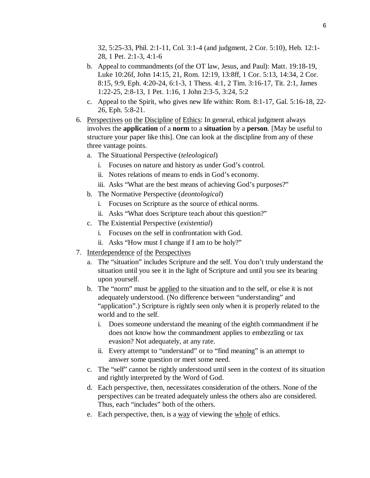32, 5:25-33, Phil. 2:1-11, Col. 3:1-4 (and judgment, 2 Cor. 5:10), Heb. 12:1- 28, 1 Pet. 2:1-3, 4:1-6

- b. Appeal to commandments (of the OT law, Jesus, and Paul): Matt. 19:18-19, Luke 10:26f, John 14:15, 21, Rom. 12:19, 13:8ff, 1 Cor. 5:13, 14:34, 2 Cor. 8:15, 9:9, Eph. 4:20-24, 6:1-3, 1 Thess. 4:1, 2 Tim. 3:16-17, Tit. 2:1, James 1:22-25, 2:8-13, 1 Pet. 1:16, 1 John 2:3-5, 3:24, 5:2
- c. Appeal to the Spirit, who gives new life within: Rom. 8:1-17, Gal. 5:16-18, 22- 26, Eph. 5:8-21.
- 6. Perspectives on the Discipline of Ethics: In general, ethical judgment always involves the **application** of a **norm** to a **situation** by a **person**. [May be useful to structure your paper like this]. One can look at the discipline from any of these three vantage points.
	- a. The Situational Perspective (*teleological*)
		- i. Focuses on nature and history as under God's control.
		- ii. Notes relations of means to ends in God's economy.
		- iii. Asks "What are the best means of achieving God's purposes?"
	- b. The Normative Perspective (*deontological*)
		- i. Focuses on Scripture as the source of ethical norms.
		- ii. Asks "What does Scripture teach about this question?"
	- c. The Existential Perspective (*existential*)
		- i. Focuses on the self in confrontation with God.
		- ii. Asks "How must I change if I am to be holy?"
- 7. Interdependence of the Perspectives
	- a. The "situation" includes Scripture and the self. You don't truly understand the situation until you see it in the light of Scripture and until you see its bearing upon yourself.
	- b. The "norm" must be applied to the situation and to the self, or else it is not adequately understood. (No difference between "understanding" and "application".) Scripture is rightly seen only when it is properly related to the world and to the self.
		- i. Does someone understand the meaning of the eighth commandment if he does not know how the commandment applies to embezzling or tax evasion? Not adequately, at any rate.
		- ii. Every attempt to "understand" or to "find meaning" is an attempt to answer some question or meet some need.
	- c. The "self" cannot be rightly understood until seen in the context of its situation and rightly interpreted by the Word of God.
	- d. Each perspective, then, necessitates consideration of the others. None of the perspectives can be treated adequately unless the others also are considered. Thus, each "includes" both of the others.
	- e. Each perspective, then, is a way of viewing the whole of ethics.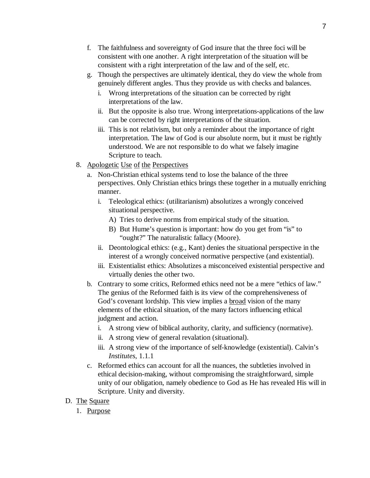- f. The faithfulness and sovereignty of God insure that the three foci will be consistent with one another. A right interpretation of the situation will be consistent with a right interpretation of the law and of the self, etc.
- g. Though the perspectives are ultimately identical, they do view the whole from genuinely different angles. Thus they provide us with checks and balances.
	- i. Wrong interpretations of the situation can be corrected by right interpretations of the law.
	- ii. But the opposite is also true. Wrong interpretations-applications of the law can be corrected by right interpretations of the situation.
	- iii. This is not relativism, but only a reminder about the importance of right interpretation. The law of God is our absolute norm, but it must be rightly understood. We are not responsible to do what we falsely imagine Scripture to teach.
- 8. Apologetic Use of the Perspectives
	- a. Non-Christian ethical systems tend to lose the balance of the three perspectives. Only Christian ethics brings these together in a mutually enriching manner.
		- i. Teleological ethics: (utilitarianism) absolutizes a wrongly conceived situational perspective.
			- A) Tries to derive norms from empirical study of the situation.
			- B) But Hume's question is important: how do you get from "is" to "ought?" The naturalistic fallacy (Moore).
		- ii. Deontological ethics: (e.g., Kant) denies the situational perspective in the interest of a wrongly conceived normative perspective (and existential).
		- iii. Existentialist ethics: Absolutizes a misconceived existential perspective and virtually denies the other two.
	- b. Contrary to some critics, Reformed ethics need not be a mere "ethics of law." The genius of the Reformed faith is its view of the comprehensiveness of God's covenant lordship. This view implies a **broad** vision of the many elements of the ethical situation, of the many factors influencing ethical judgment and action.
		- i. A strong view of biblical authority, clarity, and sufficiency (normative).
		- ii. A strong view of general revalation (situational).
		- iii. A strong view of the importance of self-knowledge (existential). Calvin's *Institutes*, 1.1.1
	- c. Reformed ethics can account for all the nuances, the subtleties involved in ethical decision-making, without compromising the straightforward, simple unity of our obligation, namely obedience to God as He has revealed His will in Scripture. Unity and diversity.
- D. The Square
	- 1. Purpose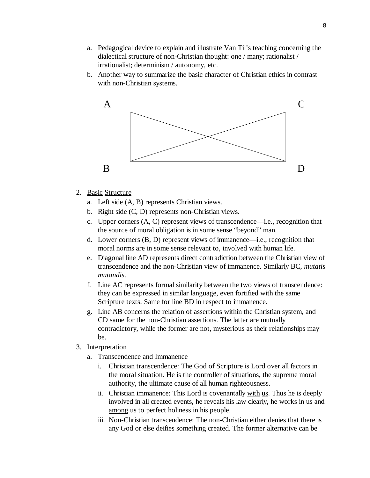- a. Pedagogical device to explain and illustrate Van Til's teaching concerning the dialectical structure of non-Christian thought: one / many; rationalist / irrationalist; determinism / autonomy, etc.
- b. Another way to summarize the basic character of Christian ethics in contrast with non-Christian systems.



- 2. Basic Structure
	- a. Left side (A, B) represents Christian views.
	- b. Right side (C, D) represents non-Christian views.
	- c. Upper corners (A, C) represent views of transcendence—i.e., recognition that the source of moral obligation is in some sense "beyond" man.
	- d. Lower corners (B, D) represent views of immanence—i.e., recognition that moral norms are in some sense relevant to, involved with human life.
	- e. Diagonal line AD represents direct contradiction between the Christian view of transcendence and the non-Christian view of immanence. Similarly BC, *mutatis mutandis*.
	- f. Line AC represents formal similarity between the two views of transcendence: they can be expressed in similar language, even fortified with the same Scripture texts. Same for line BD in respect to immanence.
	- g. Line AB concerns the relation of assertions within the Christian system, and CD same for the non-Christian assertions. The latter are mutually contradictory, while the former are not, mysterious as their relationships may be.
- 3. Interpretation
	- a. Transcendence and Immanence
		- i. Christian transcendence: The God of Scripture is Lord over all factors in the moral situation. He is the controller of situations, the supreme moral authority, the ultimate cause of all human righteousness.
		- ii. Christian immanence: This Lord is covenantally with us. Thus he is deeply involved in all created events, he reveals his law clearly, he works in us and among us to perfect holiness in his people.
		- iii. Non-Christian transcendence: The non-Christian either denies that there is any God or else deifies something created. The former alternative can be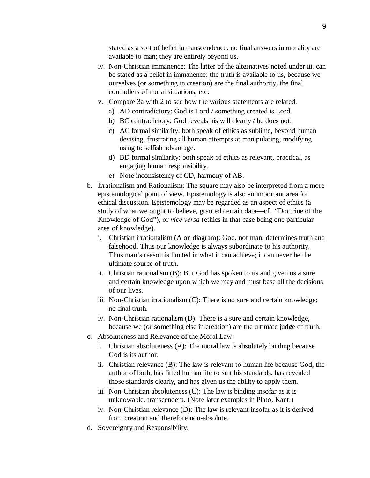stated as a sort of belief in transcendence: no final answers in morality are available to man; they are entirely beyond us.

- iv. Non-Christian immanence: The latter of the alternatives noted under iii. can be stated as a belief in immanence: the truth is available to us, because we ourselves (or something in creation) are the final authority, the final controllers of moral situations, etc.
- v. Compare 3a with 2 to see how the various statements are related.
	- a) AD contradictory: God is Lord / something created is Lord.
	- b) BC contradictory: God reveals his will clearly / he does not.
	- c) AC formal similarity: both speak of ethics as sublime, beyond human devising, frustrating all human attempts at manipulating, modifying, using to selfish advantage.
	- d) BD formal similarity: both speak of ethics as relevant, practical, as engaging human responsibility.
	- e) Note inconsistency of CD, harmony of AB.
- b. Irrationalism and Rationalism: The square may also be interpreted from a more epistemological point of view. Epistemology is also an important area for ethical discussion. Epistemology may be regarded as an aspect of ethics (a study of what we ought to believe, granted certain data—cf., "Doctrine of the Knowledge of God"), or *vice versa* (ethics in that case being one particular area of knowledge).
	- i. Christian irrationalism (A on diagram): God, not man, determines truth and falsehood. Thus our knowledge is always subordinate to his authority. Thus man's reason is limited in what it can achieve; it can never be the ultimate source of truth.
	- ii. Christian rationalism (B): But God has spoken to us and given us a sure and certain knowledge upon which we may and must base all the decisions of our lives.
	- iii. Non-Christian irrationalism (C): There is no sure and certain knowledge; no final truth.
	- iv. Non-Christian rationalism (D): There is a sure and certain knowledge, because we (or something else in creation) are the ultimate judge of truth.
- c. Absoluteness and Relevance of the Moral Law:
	- i. Christian absoluteness (A): The moral law is absolutely binding because God is its author.
	- ii. Christian relevance (B): The law is relevant to human life because God, the author of both, has fitted human life to suit his standards, has revealed those standards clearly, and has given us the ability to apply them.
	- iii. Non-Christian absoluteness  $(C)$ : The law is binding insofar as it is unknowable, transcendent. (Note later examples in Plato, Kant.)
	- iv. Non-Christian relevance (D): The law is relevant insofar as it is derived from creation and therefore non-absolute.
- d. Sovereignty and Responsibility: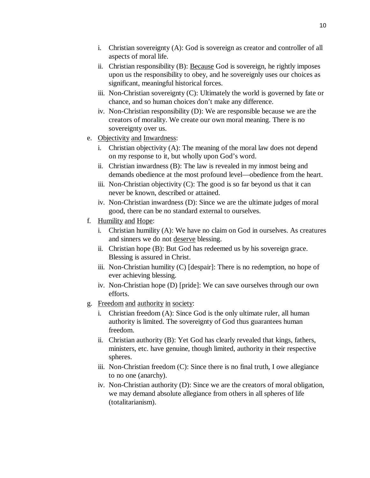- i. Christian sovereignty (A): God is sovereign as creator and controller of all aspects of moral life.
- ii. Christian responsibility (B): Because God is sovereign, he rightly imposes upon us the responsibility to obey, and he sovereignly uses our choices as significant, meaningful historical forces.
- iii. Non-Christian sovereignty (C): Ultimately the world is governed by fate or chance, and so human choices don't make any difference.
- iv. Non-Christian responsibility (D): We are responsible because we are the creators of morality. We create our own moral meaning. There is no sovereignty over us.
- e. Objectivity and Inwardness:
	- i. Christian objectivity (A): The meaning of the moral law does not depend on my response to it, but wholly upon God's word.
	- ii. Christian inwardness (B): The law is revealed in my inmost being and demands obedience at the most profound level—obedience from the heart.
	- iii. Non-Christian objectivity  $(C)$ : The good is so far beyond us that it can never be known, described or attained.
	- iv. Non-Christian inwardness (D): Since we are the ultimate judges of moral good, there can be no standard external to ourselves.
- f. Humility and Hope:
	- i. Christian humility (A): We have no claim on God in ourselves. As creatures and sinners we do not deserve blessing.
	- ii. Christian hope (B): But God has redeemed us by his sovereign grace. Blessing is assured in Christ.
	- iii. Non-Christian humility (C) [despair]: There is no redemption, no hope of ever achieving blessing.
	- iv. Non-Christian hope (D) [pride]: We can save ourselves through our own efforts.
- g. Freedom and authority in society:
	- i. Christian freedom (A): Since God is the only ultimate ruler, all human authority is limited. The sovereignty of God thus guarantees human freedom.
	- ii. Christian authority (B): Yet God has clearly revealed that kings, fathers, ministers, etc. have genuine, though limited, authority in their respective spheres.
	- iii. Non-Christian freedom (C): Since there is no final truth, I owe allegiance to no one (anarchy).
	- iv. Non-Christian authority (D): Since we are the creators of moral obligation, we may demand absolute allegiance from others in all spheres of life (totalitarianism).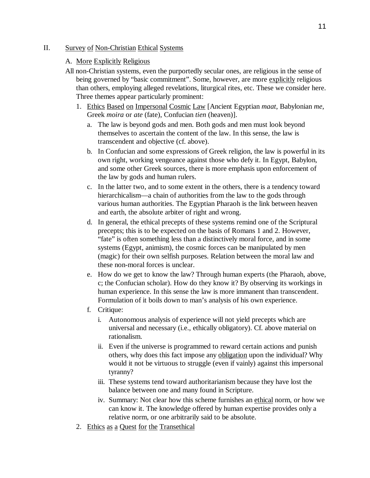### II. Survey of Non-Christian Ethical Systems

## A. More Explicitly Religious

- All non-Christian systems, even the purportedly secular ones, are religious in the sense of being governed by "basic commitment". Some, however, are more explicitly religious than others, employing alleged revelations, liturgical rites, etc. These we consider here. Three themes appear particularly prominent:
	- 1. Ethics Based on Impersonal Cosmic Law [Ancient Egyptian *maat*, Babylonian *me*, Greek *moira* or *ate* (fate), Confucian *tien* (heaven)].
		- a. The law is beyond gods and men. Both gods and men must look beyond themselves to ascertain the content of the law. In this sense, the law is transcendent and objective (cf. above).
		- b. In Confucian and some expressions of Greek religion, the law is powerful in its own right, working vengeance against those who defy it. In Egypt, Babylon, and some other Greek sources, there is more emphasis upon enforcement of the law by gods and human rulers.
		- c. In the latter two, and to some extent in the others, there is a tendency toward hierarchicalism—a chain of authorities from the law to the gods through various human authorities. The Egyptian Pharaoh is the link between heaven and earth, the absolute arbiter of right and wrong.
		- d. In general, the ethical precepts of these systems remind one of the Scriptural precepts; this is to be expected on the basis of Romans 1 and 2. However, "fate" is often something less than a distinctively moral force, and in some systems (Egypt, animism), the cosmic forces can be manipulated by men (magic) for their own selfish purposes. Relation between the moral law and these non-moral forces is unclear.
		- e. How do we get to know the law? Through human experts (the Pharaoh, above, c; the Confucian scholar). How do they know it? By observing its workings in human experience. In this sense the law is more immanent than transcendent. Formulation of it boils down to man's analysis of his own experience.
		- f. Critique:
			- i. Autonomous analysis of experience will not yield precepts which are universal and necessary (i.e., ethically obligatory). Cf. above material on rationalism.
			- ii. Even if the universe is programmed to reward certain actions and punish others, why does this fact impose any obligation upon the individual? Why would it not be virtuous to struggle (even if vainly) against this impersonal tyranny?
			- iii. These systems tend toward authoritarianism because they have lost the balance between one and many found in Scripture.
			- iv. Summary: Not clear how this scheme furnishes an ethical norm, or how we can know it. The knowledge offered by human expertise provides only a relative norm, or one arbitrarily said to be absolute.
	- 2. Ethics as a Quest for the Transethical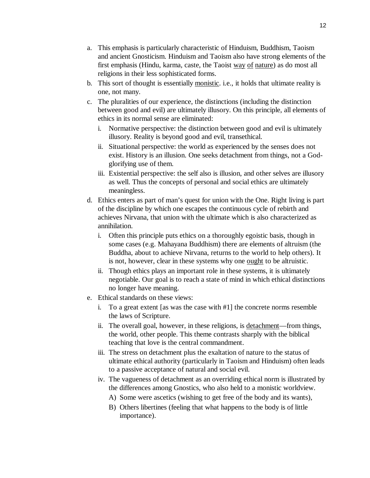- a. This emphasis is particularly characteristic of Hinduism, Buddhism, Taoism and ancient Gnosticism. Hinduism and Taoism also have strong elements of the first emphasis (Hindu, karma, caste, the Taoist way of nature) as do most all religions in their less sophisticated forms.
- b. This sort of thought is essentially monistic. i.e., it holds that ultimate reality is one, not many.
- c. The pluralities of our experience, the distinctions (including the distinction between good and evil) are ultimately illusory. On this principle, all elements of ethics in its normal sense are eliminated:
	- i. Normative perspective: the distinction between good and evil is ultimately illusory. Reality is beyond good and evil, transethical.
	- ii. Situational perspective: the world as experienced by the senses does not exist. History is an illusion. One seeks detachment from things, not a Godglorifying use of them.
	- iii. Existential perspective: the self also is illusion, and other selves are illusory as well. Thus the concepts of personal and social ethics are ultimately meaningless.
- d. Ethics enters as part of man's quest for union with the One. Right living is part of the discipline by which one escapes the continuous cycle of rebirth and achieves Nirvana, that union with the ultimate which is also characterized as annihilation.
	- i. Often this principle puts ethics on a thoroughly egoistic basis, though in some cases (e.g. Mahayana Buddhism) there are elements of altruism (the Buddha, about to achieve Nirvana, returns to the world to help others). It is not, however, clear in these systems why one <u>ought</u> to be altruistic.
	- ii. Though ethics plays an important role in these systems, it is ultimately negotiable. Our goal is to reach a state of mind in which ethical distinctions no longer have meaning.
- e. Ethical standards on these views:
	- i. To a great extent [as was the case with #1] the concrete norms resemble the laws of Scripture.
	- ii. The overall goal, however, in these religions, is detachment—from things, the world, other people. This theme contrasts sharply with the biblical teaching that love is the central commandment.
	- iii. The stress on detachment plus the exaltation of nature to the status of ultimate ethical authority (particularly in Taoism and Hinduism) often leads to a passive acceptance of natural and social evil.
	- iv. The vagueness of detachment as an overriding ethical norm is illustrated by the differences among Gnostics, who also held to a monistic worldview.
		- A) Some were ascetics (wishing to get free of the body and its wants),
		- B) Others libertines (feeling that what happens to the body is of little importance).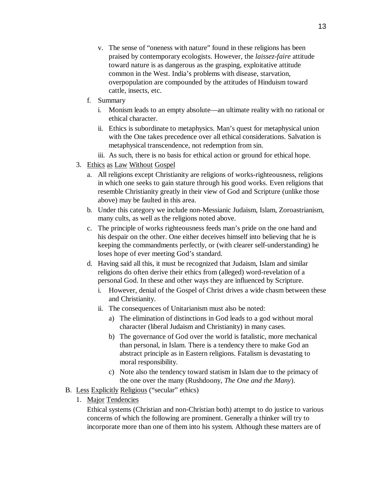- v. The sense of "oneness with nature" found in these religions has been praised by contemporary ecologists. However, the *laissez-faire* attitude toward nature is as dangerous as the grasping, exploitative attitude common in the West. India's problems with disease, starvation, overpopulation are compounded by the attitudes of Hinduism toward cattle, insects, etc.
- f. Summary
	- i. Monism leads to an empty absolute—an ultimate reality with no rational or ethical character.
	- ii. Ethics is subordinate to metaphysics. Man's quest for metaphysical union with the One takes precedence over all ethical considerations. Salvation is metaphysical transcendence, not redemption from sin.
	- iii. As such, there is no basis for ethical action or ground for ethical hope.
- 3. Ethics as Law Without Gospel
	- a. All religions except Christianity are religions of works-righteousness, religions in which one seeks to gain stature through his good works. Even religions that resemble Christianity greatly in their view of God and Scripture (unlike those above) may be faulted in this area.
	- b. Under this category we include non-Messianic Judaism, Islam, Zoroastrianism, many cults, as well as the religions noted above.
	- c. The principle of works righteousness feeds man's pride on the one hand and his despair on the other. One either deceives himself into believing that he is keeping the commandments perfectly, or (with clearer self-understanding) he loses hope of ever meeting God's standard.
	- d. Having said all this, it must be recognized that Judaism, Islam and similar religions do often derive their ethics from (alleged) word-revelation of a personal God. In these and other ways they are influenced by Scripture.
		- i. However, denial of the Gospel of Christ drives a wide chasm between these and Christianity.
		- ii. The consequences of Unitarianism must also be noted:
			- a) The elimination of distinctions in God leads to a god without moral character (liberal Judaism and Christianity) in many cases.
			- b) The governance of God over the world is fatalistic, more mechanical than personal, in Islam. There is a tendency there to make God an abstract principle as in Eastern religions. Fatalism is devastating to moral responsibility.
			- c) Note also the tendency toward statism in Islam due to the primacy of the one over the many (Rushdoony, *The One and the Many*).
- B. Less Explicitly Religious ("secular" ethics)
	- 1. Major Tendencies

Ethical systems (Christian and non-Christian both) attempt to do justice to various concerns of which the following are prominent. Generally a thinker will try to incorporate more than one of them into his system. Although these matters are of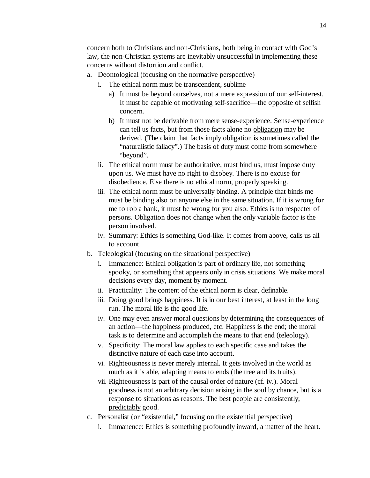concern both to Christians and non-Christians, both being in contact with God's law, the non-Christian systems are inevitably unsuccessful in implementing these concerns without distortion and conflict.

- a. Deontological (focusing on the normative perspective)
	- i. The ethical norm must be transcendent, sublime
		- a) It must be beyond ourselves, not a mere expression of our self-interest. It must be capable of motivating self-sacrifice—the opposite of selfish concern.
		- b) It must not be derivable from mere sense-experience. Sense-experience can tell us facts, but from those facts alone no obligation may be derived. (The claim that facts imply obligation is sometimes called the "naturalistic fallacy".) The basis of duty must come from somewhere "beyond".
	- ii. The ethical norm must be authoritative, must bind us, must impose duty upon us. We must have no right to disobey. There is no excuse for disobedience. Else there is no ethical norm, properly speaking.
	- iii. The ethical norm must be *universally* binding. A principle that binds me must be binding also on anyone else in the same situation. If it is wrong for me to rob a bank, it must be wrong for you also. Ethics is no respecter of persons. Obligation does not change when the only variable factor is the person involved.
	- iv. Summary: Ethics is something God-like. It comes from above, calls us all to account.
- b. Teleological (focusing on the situational perspective)
	- i. Immanence: Ethical obligation is part of ordinary life, not something spooky, or something that appears only in crisis situations. We make moral decisions every day, moment by moment.
	- ii. Practicality: The content of the ethical norm is clear, definable.
	- iii. Doing good brings happiness. It is in our best interest, at least in the long run. The moral life is the good life.
	- iv. One may even answer moral questions by determining the consequences of an action—the happiness produced, etc. Happiness is the end; the moral task is to determine and accomplish the means to that end (teleology).
	- v. Specificity: The moral law applies to each specific case and takes the distinctive nature of each case into account.
	- vi. Righteousness is never merely internal. It gets involved in the world as much as it is able, adapting means to ends (the tree and its fruits).
	- vii. Righteousness is part of the causal order of nature (cf. iv.). Moral goodness is not an arbitrary decision arising in the soul by chance, but is a response to situations as reasons. The best people are consistently, predictably good.
- c. Personalist (or "existential," focusing on the existential perspective)
	- i. Immanence: Ethics is something profoundly inward, a matter of the heart.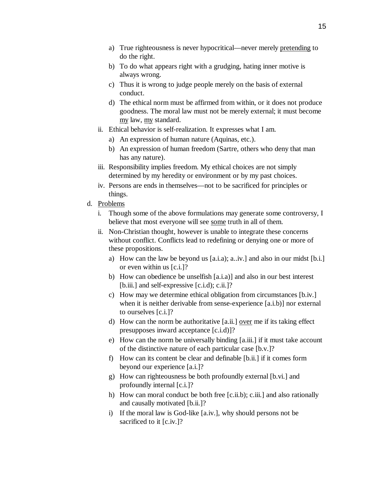- a) True righteousness is never hypocritical—never merely pretending to do the right.
- b) To do what appears right with a grudging, hating inner motive is always wrong.
- c) Thus it is wrong to judge people merely on the basis of external conduct.
- d) The ethical norm must be affirmed from within, or it does not produce goodness. The moral law must not be merely external; it must become my law, my standard.
- ii. Ethical behavior is self-realization. It expresses what I am.
	- a) An expression of human nature (Aquinas, etc.).
	- b) An expression of human freedom (Sartre, others who deny that man has any nature).
- iii. Responsibility implies freedom. My ethical choices are not simply determined by my heredity or environment or by my past choices.
- iv. Persons are ends in themselves—not to be sacrificed for principles or things.
- d. Problems
	- i. Though some of the above formulations may generate some controversy, I believe that most everyone will see some truth in all of them.
	- ii. Non-Christian thought, however is unable to integrate these concerns without conflict. Conflicts lead to redefining or denying one or more of these propositions.
		- a) How can the law be beyond us [a.i.a); a..iv.] and also in our midst [b.i.] or even within us [c.i.]?
		- b) How can obedience be unselfish [a.i.a)] and also in our best interest [b.iii.] and self-expressive [c.i.d); c.ii.]?
		- c) How may we determine ethical obligation from circumstances [b.iv.] when it is neither derivable from sense-experience [a.i.b)] nor external to ourselves [c.i.]?
		- d) How can the norm be authoritative  $[a$ .ii.] over me if its taking effect presupposes inward acceptance [c.i.d)]?
		- e) How can the norm be universally binding [a.iii.] if it must take account of the distinctive nature of each particular case [b.v.]?
		- f) How can its content be clear and definable [b.ii.] if it comes form beyond our experience [a.i.]?
		- g) How can righteousness be both profoundly external [b.vi.] and profoundly internal [c.i.]?
		- h) How can moral conduct be both free [c.ii.b); c.iii.] and also rationally and causally motivated [b.ii.]?
		- i) If the moral law is God-like [a.iv.], why should persons not be sacrificed to it [c.iv.]?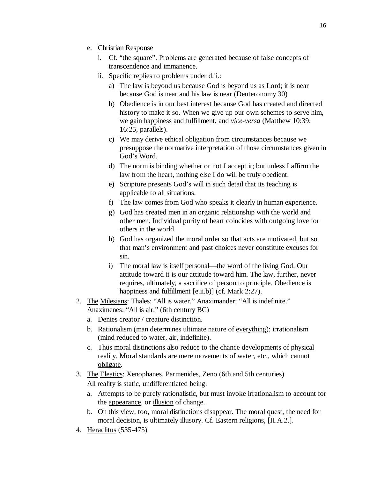- e. Christian Response
	- i. Cf. "the square". Problems are generated because of false concepts of transcendence and immanence.
	- ii. Specific replies to problems under d.ii.:
		- a) The law is beyond us because God is beyond us as Lord; it is near because God is near and his law is near (Deuteronomy 30)
		- b) Obedience is in our best interest because God has created and directed history to make it so. When we give up our own schemes to serve him, we gain happiness and fulfillment, and *vice-versa* (Matthew 10:39; 16:25, parallels).
		- c) We may derive ethical obligation from circumstances because we presuppose the normative interpretation of those circumstances given in God's Word.
		- d) The norm is binding whether or not I accept it; but unless I affirm the law from the heart, nothing else I do will be truly obedient.
		- e) Scripture presents God's will in such detail that its teaching is applicable to all situations.
		- f) The law comes from God who speaks it clearly in human experience.
		- g) God has created men in an organic relationship with the world and other men. Individual purity of heart coincides with outgoing love for others in the world.
		- h) God has organized the moral order so that acts are motivated, but so that man's environment and past choices never constitute excuses for sin.
		- i) The moral law is itself personal—the word of the living God. Our attitude toward it is our attitude toward him. The law, further, never requires, ultimately, a sacrifice of person to principle. Obedience is happiness and fulfillment [e.ii.b)] (cf. Mark 2:27).
- 2. The Milesians: Thales: "All is water." Anaximander: "All is indefinite." Anaximenes: "All is air." (6th century BC)
	- a. Denies creator / creature distinction.
	- b. Rationalism (man determines ultimate nature of everything); irrationalism (mind reduced to water, air, indefinite).
	- c. Thus moral distinctions also reduce to the chance developments of physical reality. Moral standards are mere movements of water, etc., which cannot obligate.
- 3. The Eleatics: Xenophanes, Parmenides, Zeno (6th and 5th centuries) All reality is static, undifferentiated being.
	- a. Attempts to be purely rationalistic, but must invoke irrationalism to account for the appearance, or illusion of change.
	- b. On this view, too, moral distinctions disappear. The moral quest, the need for moral decision, is ultimately illusory. Cf. Eastern religions, [II.A.2.].
- 4. Heraclitus (535-475)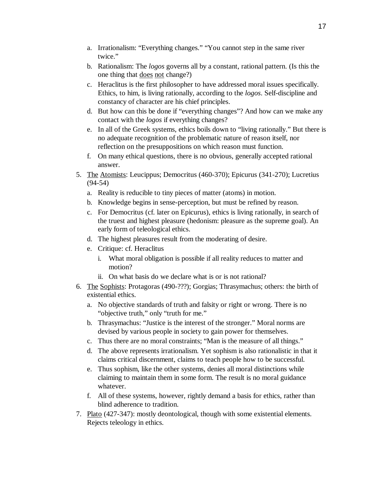- a. Irrationalism: "Everything changes." "You cannot step in the same river twice."
- b. Rationalism: The *logos* governs all by a constant, rational pattern. (Is this the one thing that does not change?)
- c. Heraclitus is the first philosopher to have addressed moral issues specifically. Ethics, to him, is living rationally, according to the *logos*. Self-discipline and constancy of character are his chief principles.
- d. But how can this be done if "everything changes"? And how can we make any contact with the *logos* if everything changes?
- e. In all of the Greek systems, ethics boils down to "living rationally." But there is no adequate recognition of the problematic nature of reason itself, nor reflection on the presuppositions on which reason must function.
- f. On many ethical questions, there is no obvious, generally accepted rational answer.
- 5. The Atomists: Leucippus; Democritus (460-370); Epicurus (341-270); Lucretius (94-54)
	- a. Reality is reducible to tiny pieces of matter (atoms) in motion.
	- b. Knowledge begins in sense-perception, but must be refined by reason.
	- c. For Democritus (cf. later on Epicurus), ethics is living rationally, in search of the truest and highest pleasure (hedonism: pleasure as the supreme goal). An early form of teleological ethics.
	- d. The highest pleasures result from the moderating of desire.
	- e. Critique: cf. Heraclitus
		- i. What moral obligation is possible if all reality reduces to matter and motion?
		- ii. On what basis do we declare what is or is not rational?
- 6. The Sophists: Protagoras (490-???); Gorgias; Thrasymachus; others: the birth of existential ethics.
	- a. No objective standards of truth and falsity or right or wrong. There is no "objective truth," only "truth for me."
	- b. Thrasymachus: "Justice is the interest of the stronger." Moral norms are devised by various people in society to gain power for themselves.
	- c. Thus there are no moral constraints; "Man is the measure of all things."
	- d. The above represents irrationalism. Yet sophism is also rationalistic in that it claims critical discernment, claims to teach people how to be successful.
	- e. Thus sophism, like the other systems, denies all moral distinctions while claiming to maintain them in some form. The result is no moral guidance whatever.
	- f. All of these systems, however, rightly demand a basis for ethics, rather than blind adherence to tradition.
- 7. Plato (427-347): mostly deontological, though with some existential elements. Rejects teleology in ethics.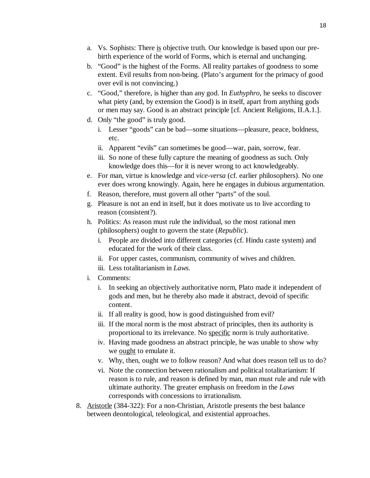- a. Vs. Sophists: There is objective truth. Our knowledge is based upon our prebirth experience of the world of Forms, which is eternal and unchanging.
- b. "Good" is the highest of the Forms. All reality partakes of goodness to some extent. Evil results from non-being. (Plato's argument for the primacy of good over evil is not convincing.)
- c. "Good," therefore, is higher than any god. In *Euthyphro*, he seeks to discover what piety (and, by extension the Good) is in itself, apart from anything gods or men may say. Good is an abstract principle [cf. Ancient Religions, II.A.1.].
- d. Only "the good" is truly good.
	- i. Lesser "goods" can be bad—some situations—pleasure, peace, boldness, etc.
	- ii. Apparent "evils" can sometimes be good—war, pain, sorrow, fear.
	- iii. So none of these fully capture the meaning of goodness as such. Only knowledge does this—for it is never wrong to act knowledgeably.
- e. For man, virtue is knowledge and *vice-versa* (cf. earlier philosophers). No one ever does wrong knowingly. Again, here he engages in dubious argumentation.
- f. Reason, therefore, must govern all other "parts" of the soul.
- g. Pleasure is not an end in itself, but it does motivate us to live according to reason (consistent?).
- h. Politics: As reason must rule the individual, so the most rational men (philosophers) ought to govern the state (*Republic*).
	- i. People are divided into different categories (cf. Hindu caste system) and educated for the work of their class.
	- ii. For upper castes, communism, community of wives and children.
	- iii. Less totalitarianism in *Laws*.
- i. Comments:
	- i. In seeking an objectively authoritative norm, Plato made it independent of gods and men, but he thereby also made it abstract, devoid of specific content.
	- ii. If all reality is good, how is good distinguished from evil?
	- iii. If the moral norm is the most abstract of principles, then its authority is proportional to its irrelevance. No specific norm is truly authoritative.
	- iv. Having made goodness an abstract principle, he was unable to show why we ought to emulate it.
	- v. Why, then, ought we to follow reason? And what does reason tell us to do?
	- vi. Note the connection between rationalism and political totalitarianism: If reason is to rule, and reason is defined by man, man must rule and rule with ultimate authority. The greater emphasis on freedom in the *Laws* corresponds with concessions to irrationalism.
- 8. Aristotle (384-322): For a non-Christian, Aristotle presents the best balance between deontological, teleological, and existential approaches.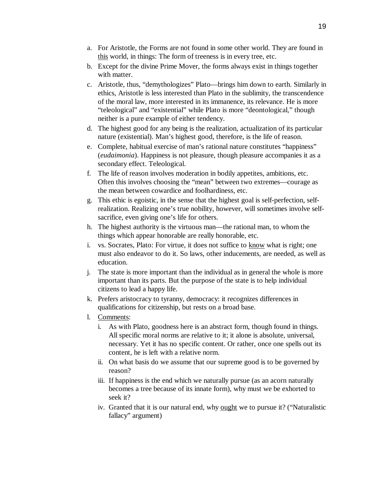- a. For Aristotle, the Forms are not found in some other world. They are found in this world, in things: The form of treeness is in every tree, etc.
- b. Except for the divine Prime Mover, the forms always exist in things together with matter.
- c. Aristotle, thus, "demythologizes" Plato—brings him down to earth. Similarly in ethics, Aristotle is less interested than Plato in the sublimity, the transcendence of the moral law, more interested in its immanence, its relevance. He is more "teleological" and "existential" while Plato is more "deontological," though neither is a pure example of either tendency.
- d. The highest good for any being is the realization, actualization of its particular nature (existential). Man's highest good, therefore, is the life of reason.
- e. Complete, habitual exercise of man's rational nature constitutes "happiness" (*eudaimonia*). Happiness is not pleasure, though pleasure accompanies it as a secondary effect. Teleological.
- f. The life of reason involves moderation in bodily appetites, ambitions, etc. Often this involves choosing the "mean" between two extremes—courage as the mean between cowardice and foolhardiness, etc.
- g. This ethic is egoistic, in the sense that the highest goal is self-perfection, selfrealization. Realizing one's true nobility, however, will sometimes involve selfsacrifice, even giving one's life for others.
- h. The highest authority is the virtuous man—the rational man, to whom the things which appear honorable are really honorable, etc.
- i. vs. Socrates, Plato: For virtue, it does not suffice to know what is right; one must also endeavor to do it. So laws, other inducements, are needed, as well as education.
- j. The state is more important than the individual as in general the whole is more important than its parts. But the purpose of the state is to help individual citizens to lead a happy life.
- k. Prefers aristocracy to tyranny, democracy: it recognizes differences in qualifications for citizenship, but rests on a broad base.
- l. Comments:
	- i. As with Plato, goodness here is an abstract form, though found in things. All specific moral norms are relative to it; it alone is absolute, universal, necessary. Yet it has no specific content. Or rather, once one spells out its content, he is left with a relative norm.
	- ii. On what basis do we assume that our supreme good is to be governed by reason?
	- iii. If happiness is the end which we naturally pursue (as an acorn naturally becomes a tree because of its innate form), why must we be exhorted to seek it?
	- iv. Granted that it is our natural end, why ought we to pursue it? ("Naturalistic fallacy" argument)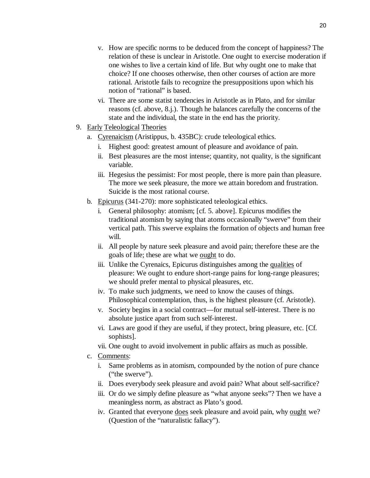- v. How are specific norms to be deduced from the concept of happiness? The relation of these is unclear in Aristotle. One ought to exercise moderation if one wishes to live a certain kind of life. But why ought one to make that choice? If one chooses otherwise, then other courses of action are more rational. Aristotle fails to recognize the presuppositions upon which his notion of "rational" is based.
- vi. There are some statist tendencies in Aristotle as in Plato, and for similar reasons (cf. above, 8.j.). Though he balances carefully the concerns of the state and the individual, the state in the end has the priority.
- 9. Early Teleological Theories
	- a. Cyrenaicism (Aristippus, b. 435BC): crude teleological ethics.
		- i. Highest good: greatest amount of pleasure and avoidance of pain.
		- ii. Best pleasures are the most intense; quantity, not quality, is the significant variable.
		- iii. Hegesius the pessimist: For most people, there is more pain than pleasure. The more we seek pleasure, the more we attain boredom and frustration. Suicide is the most rational course.
	- b. Epicurus (341-270): more sophisticated teleological ethics.
		- i. General philosophy: atomism; [cf. 5. above]. Epicurus modifies the traditional atomism by saying that atoms occasionally "swerve" from their vertical path. This swerve explains the formation of objects and human free will.
		- ii. All people by nature seek pleasure and avoid pain; therefore these are the goals of life; these are what we ought to do.
		- iii. Unlike the Cyrenaics, Epicurus distinguishes among the qualities of pleasure: We ought to endure short-range pains for long-range pleasures; we should prefer mental to physical pleasures, etc.
		- iv. To make such judgments, we need to know the causes of things. Philosophical contemplation, thus, is the highest pleasure (cf. Aristotle).
		- v. Society begins in a social contract—for mutual self-interest. There is no absolute justice apart from such self-interest.
		- vi. Laws are good if they are useful, if they protect, bring pleasure, etc. [Cf. sophists].
		- vii. One ought to avoid involvement in public affairs as much as possible.
	- c. Comments:
		- i. Same problems as in atomism, compounded by the notion of pure chance ("the swerve").
		- ii. Does everybody seek pleasure and avoid pain? What about self-sacrifice?
		- iii. Or do we simply define pleasure as "what anyone seeks"? Then we have a meaningless norm, as abstract as Plato's good.
		- iv. Granted that everyone does seek pleasure and avoid pain, why ought we? (Question of the "naturalistic fallacy").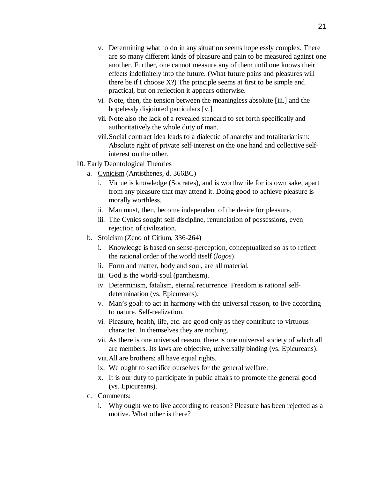- v. Determining what to do in any situation seems hopelessly complex. There are so many different kinds of pleasure and pain to be measured against one another. Further, one cannot measure any of them until one knows their effects indefinitely into the future. (What future pains and pleasures will there be if I choose  $X$ ?) The principle seems at first to be simple and practical, but on reflection it appears otherwise.
- vi. Note, then, the tension between the meaningless absolute [iii.] and the hopelessly disjointed particulars [v.].
- vii. Note also the lack of a revealed standard to set forth specifically and authoritatively the whole duty of man.
- viii. Social contract idea leads to a dialectic of anarchy and totalitarianism: Absolute right of private self-interest on the one hand and collective selfinterest on the other.
- 10. Early Deontological Theories
	- a. Cynicism (Antisthenes, d. 366BC)
		- i. Virtue is knowledge (Socrates), and is worthwhile for its own sake, apart from any pleasure that may attend it. Doing good to achieve pleasure is morally worthless.
		- ii. Man must, then, become independent of the desire for pleasure.
		- iii. The Cynics sought self-discipline, renunciation of possessions, even rejection of civilization.
	- b. Stoicism (Zeno of Citium, 336-264)
		- i. Knowledge is based on sense-perception, conceptualized so as to reflect the rational order of the world itself (*logos*).
		- ii. Form and matter, body and soul, are all material.
		- iii. God is the world-soul (pantheism).
		- iv. Determinism, fatalism, eternal recurrence. Freedom is rational selfdetermination (vs. Epicureans).
		- v. Man's goal: to act in harmony with the universal reason, to live according to nature. Self-realization.
		- vi. Pleasure, health, life, etc. are good only as they contribute to virtuous character. In themselves they are nothing.
		- vii. As there is one universal reason, there is one universal society of which all are members. Its laws are objective, universally binding (vs. Epicureans).

viii. All are brothers; all have equal rights.

- ix. We ought to sacrifice ourselves for the general welfare.
- x. It is our duty to participate in public affairs to promote the general good (vs. Epicureans).
- c. Comments:
	- i. Why ought we to live according to reason? Pleasure has been rejected as a motive. What other is there?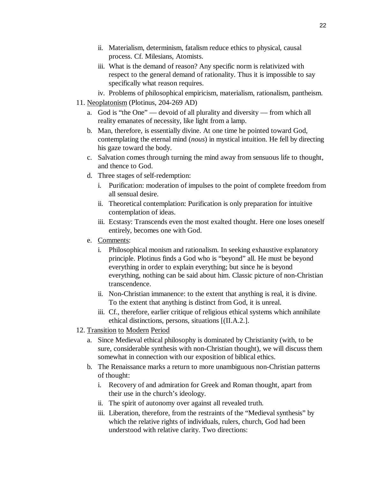- ii. Materialism, determinism, fatalism reduce ethics to physical, causal process. Cf. Milesians, Atomists.
- iii. What is the demand of reason? Any specific norm is relativized with respect to the general demand of rationality. Thus it is impossible to say specifically what reason requires.
- iv. Problems of philosophical empiricism, materialism, rationalism, pantheism.
- 11. Neoplatonism (Plotinus, 204-269 AD)
	- a. God is "the One" devoid of all plurality and diversity from which all reality emanates of necessity, like light from a lamp.
	- b. Man, therefore, is essentially divine. At one time he pointed toward God, contemplating the eternal mind (*nous*) in mystical intuition. He fell by directing his gaze toward the body.
	- c. Salvation comes through turning the mind away from sensuous life to thought, and thence to God.
	- d. Three stages of self-redemption:
		- i. Purification: moderation of impulses to the point of complete freedom from all sensual desire.
		- ii. Theoretical contemplation: Purification is only preparation for intuitive contemplation of ideas.
		- iii. Ecstasy: Transcends even the most exalted thought. Here one loses oneself entirely, becomes one with God.
	- e. Comments:
		- i. Philosophical monism and rationalism. In seeking exhaustive explanatory principle. Plotinus finds a God who is "beyond" all. He must be beyond everything in order to explain everything; but since he is beyond everything, nothing can be said about him. Classic picture of non-Christian transcendence.
		- ii. Non-Christian immanence: to the extent that anything is real, it is divine. To the extent that anything is distinct from God, it is unreal.
		- iii. Cf., therefore, earlier critique of religious ethical systems which annihilate ethical distinctions, persons, situations [(II.A.2.].
- 12. Transition to Modern Period
	- a. Since Medieval ethical philosophy is dominated by Christianity (with, to be sure, considerable synthesis with non-Christian thought), we will discuss them somewhat in connection with our exposition of biblical ethics.
	- b. The Renaissance marks a return to more unambiguous non-Christian patterns of thought:
		- i. Recovery of and admiration for Greek and Roman thought, apart from their use in the church's ideology.
		- ii. The spirit of autonomy over against all revealed truth.
		- iii. Liberation, therefore, from the restraints of the "Medieval synthesis" by which the relative rights of individuals, rulers, church, God had been understood with relative clarity. Two directions: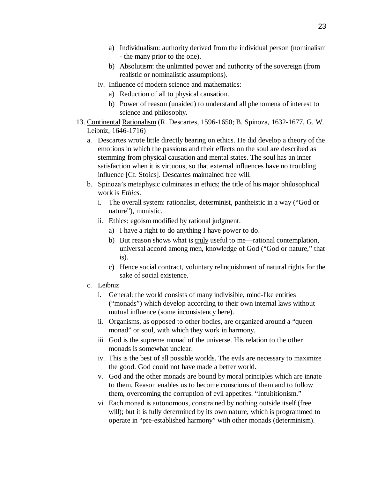- a) Individualism: authority derived from the individual person (nominalism - the many prior to the one).
- b) Absolutism: the unlimited power and authority of the sovereign (from realistic or nominalistic assumptions).
- iv. Influence of modern science and mathematics:
	- a) Reduction of all to physical causation.
	- b) Power of reason (unaided) to understand all phenomena of interest to science and philosophy.
- 13. Continental Rationalism (R. Descartes, 1596-1650; B. Spinoza, 1632-1677, G. W. Leibniz, 1646-1716)
	- a. Descartes wrote little directly bearing on ethics. He did develop a theory of the emotions in which the passions and their effects on the soul are described as stemming from physical causation and mental states. The soul has an inner satisfaction when it is virtuous, so that external influences have no troubling influence [Cf. Stoics]. Descartes maintained free will.
	- b. Spinoza's metaphysic culminates in ethics; the title of his major philosophical work is *Ethics*.
		- i. The overall system: rationalist, determinist, pantheistic in a way ("God or nature"), monistic.
		- ii. Ethics: egoism modified by rational judgment.
			- a) I have a right to do anything I have power to do.
			- b) But reason shows what is truly useful to me—rational contemplation, universal accord among men, knowledge of God ("God or nature," that is).
			- c) Hence social contract, voluntary relinquishment of natural rights for the sake of social existence.
	- c. Leibniz
		- i. General: the world consists of many indivisible, mind-like entities ("monads") which develop according to their own internal laws without mutual influence (some inconsistency here).
		- ii. Organisms, as opposed to other bodies, are organized around a "queen monad" or soul, with which they work in harmony.
		- iii. God is the supreme monad of the universe. His relation to the other monads is somewhat unclear.
		- iv. This is the best of all possible worlds. The evils are necessary to maximize the good. God could not have made a better world.
		- v. God and the other monads are bound by moral principles which are innate to them. Reason enables us to become conscious of them and to follow them, overcoming the corruption of evil appetites. "Intuititionism."
		- vi. Each monad is autonomous, constrained by nothing outside itself (free will); but it is fully determined by its own nature, which is programmed to operate in "pre-established harmony" with other monads (determinism).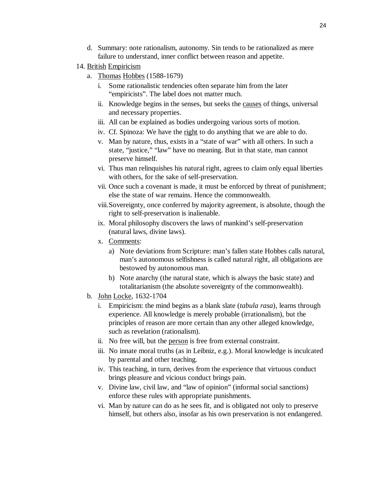- d. Summary: note rationalism, autonomy. Sin tends to be rationalized as mere failure to understand, inner conflict between reason and appetite.
- 14. British Empiricism
	- a. Thomas Hobbes (1588-1679)
		- i. Some rationalistic tendencies often separate him from the later "empiricists". The label does not matter much.
		- ii. Knowledge begins in the senses, but seeks the causes of things, universal and necessary properties.
		- iii. All can be explained as bodies undergoing various sorts of motion.
		- iv. Cf. Spinoza: We have the right to do anything that we are able to do.
		- v. Man by nature, thus, exists in a "state of war" with all others. In such a state, "justice," "law" have no meaning. But in that state, man cannot preserve himself.
		- vi. Thus man relinquishes his natural right, agrees to claim only equal liberties with others, for the sake of self-preservation.
		- vii. Once such a covenant is made, it must be enforced by threat of punishment; else the state of war remains. Hence the commonwealth.
		- viii. Sovereignty, once conferred by majority agreement, is absolute, though the right to self-preservation is inalienable.
		- ix. Moral philosophy discovers the laws of mankind's self-preservation (natural laws, divine laws).
		- x. Comments:
			- a) Note deviations from Scripture: man's fallen state Hobbes calls natural, man's autonomous selfishness is called natural right, all obligations are bestowed by autonomous man.
			- b) Note anarchy (the natural state, which is always the basic state) and totalitarianism (the absolute sovereignty of the commonwealth).
	- b. John Locke, 1632-1704
		- i. Empiricism: the mind begins as a blank slate (*tabula rasa*), learns through experience. All knowledge is merely probable (irrationalism), but the principles of reason are more certain than any other alleged knowledge, such as revelation (rationalism).
		- ii. No free will, but the person is free from external constraint.
		- iii. No innate moral truths (as in Leibniz, e.g.). Moral knowledge is inculcated by parental and other teaching.
		- iv. This teaching, in turn, derives from the experience that virtuous conduct brings pleasure and vicious conduct brings pain.
		- v. Divine law, civil law, and "law of opinion" (informal social sanctions) enforce these rules with appropriate punishments.
		- vi. Man by nature can do as he sees fit, and is obligated not only to preserve himself, but others also, insofar as his own preservation is not endangered.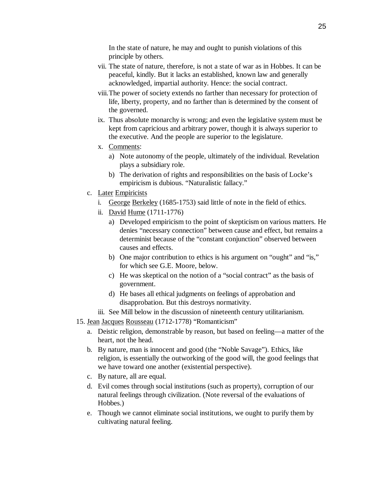In the state of nature, he may and ought to punish violations of this principle by others.

- vii. The state of nature, therefore, is not a state of war as in Hobbes. It can be peaceful, kindly. But it lacks an established, known law and generally acknowledged, impartial authority. Hence: the social contract.
- viii. The power of society extends no farther than necessary for protection of life, liberty, property, and no farther than is determined by the consent of the governed.
- ix. Thus absolute monarchy is wrong; and even the legislative system must be kept from capricious and arbitrary power, though it is always superior to the executive. And the people are superior to the legislature.
- x. Comments:
	- a) Note autonomy of the people, ultimately of the individual. Revelation plays a subsidiary role.
	- b) The derivation of rights and responsibilities on the basis of Locke's empiricism is dubious. "Naturalistic fallacy."
- c. Later Empiricists
	- i. George Berkeley (1685-1753) said little of note in the field of ethics.
	- ii. David Hume (1711-1776)
		- a) Developed empiricism to the point of skepticism on various matters. He denies "necessary connection" between cause and effect, but remains a determinist because of the "constant conjunction" observed between causes and effects.
		- b) One major contribution to ethics is his argument on "ought" and "is," for which see G.E. Moore, below.
		- c) He was skeptical on the notion of a "social contract" as the basis of government.
		- d) He bases all ethical judgments on feelings of approbation and disapprobation. But this destroys normativity.
	- iii. See Mill below in the discussion of nineteenth century utilitarianism.
- 15. Jean Jacques Rousseau (1712-1778) "Romanticism"
	- a. Deistic religion, demonstrable by reason, but based on feeling—a matter of the heart, not the head.
	- b. By nature, man is innocent and good (the "Noble Savage"). Ethics, like religion, is essentially the outworking of the good will, the good feelings that we have toward one another (existential perspective).
	- c. By nature, all are equal.
	- d. Evil comes through social institutions (such as property), corruption of our natural feelings through civilization. (Note reversal of the evaluations of Hobbes.)
	- e. Though we cannot eliminate social institutions, we ought to purify them by cultivating natural feeling.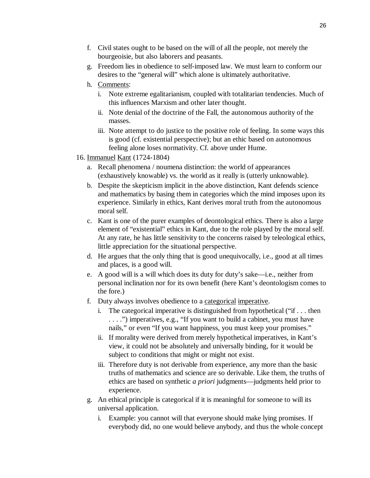- f. Civil states ought to be based on the will of all the people, not merely the bourgeoisie, but also laborers and peasants.
- g. Freedom lies in obedience to self-imposed law. We must learn to conform our desires to the "general will" which alone is ultimately authoritative.
- h. Comments:
	- i. Note extreme egalitarianism, coupled with totalitarian tendencies. Much of this influences Marxism and other later thought.
	- ii. Note denial of the doctrine of the Fall, the autonomous authority of the masses.
	- iii. Note attempt to do justice to the positive role of feeling. In some ways this is good (cf. existential perspective); but an ethic based on autonomous feeling alone loses normativity. Cf. above under Hume.
- 16. Immanuel Kant (1724-1804)
	- a. Recall phenomena / noumena distinction: the world of appearances (exhaustively knowable) vs. the world as it really is (utterly unknowable).
	- b. Despite the skepticism implicit in the above distinction, Kant defends science and mathematics by basing them in categories which the mind imposes upon its experience. Similarly in ethics, Kant derives moral truth from the autonomous moral self.
	- c. Kant is one of the purer examples of deontological ethics. There is also a large element of "existential" ethics in Kant, due to the role played by the moral self. At any rate, he has little sensitivity to the concerns raised by teleological ethics, little appreciation for the situational perspective.
	- d. He argues that the only thing that is good unequivocally, i.e., good at all times and places, is a good will.
	- e. A good will is a will which does its duty for duty's sake—i.e., neither from personal inclination nor for its own benefit (here Kant's deontologism comes to the fore.)
	- f. Duty always involves obedience to a categorical imperative.
		- i. The categorical imperative is distinguished from hypothetical ("if . . . then . . . .") imperatives, e.g., "If you want to build a cabinet, you must have nails," or even "If you want happiness, you must keep your promises."
		- ii. If morality were derived from merely hypothetical imperatives, in Kant's view, it could not be absolutely and universally binding, for it would be subject to conditions that might or might not exist.
		- iii. Therefore duty is not derivable from experience, any more than the basic truths of mathematics and science are so derivable. Like them, the truths of ethics are based on synthetic *a priori* judgments—judgments held prior to experience.
	- g. An ethical principle is categorical if it is meaningful for someone to will its universal application.
		- i. Example: you cannot will that everyone should make lying promises. If everybody did, no one would believe anybody, and thus the whole concept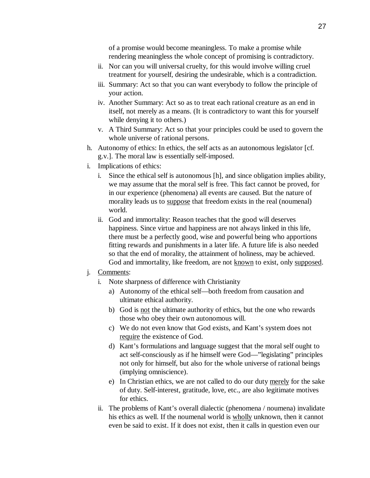of a promise would become meaningless. To make a promise while rendering meaningless the whole concept of promising is contradictory.

- ii. Nor can you will universal cruelty, for this would involve willing cruel treatment for yourself, desiring the undesirable, which is a contradiction.
- iii. Summary: Act so that you can want everybody to follow the principle of your action.
- iv. Another Summary: Act so as to treat each rational creature as an end in itself, not merely as a means. (It is contradictory to want this for yourself while denying it to others.)
- v. A Third Summary: Act so that your principles could be used to govern the whole universe of rational persons.
- h. Autonomy of ethics: In ethics, the self acts as an autonomous legislator [cf. g.v.]. The moral law is essentially self-imposed.
- i. Implications of ethics:
	- i. Since the ethical self is autonomous [h], and since obligation implies ability, we may assume that the moral self is free. This fact cannot be proved, for in our experience (phenomena) all events are caused. But the nature of morality leads us to suppose that freedom exists in the real (noumenal) world.
	- ii. God and immortality: Reason teaches that the good will deserves happiness. Since virtue and happiness are not always linked in this life, there must be a perfectly good, wise and powerful being who apportions fitting rewards and punishments in a later life. A future life is also needed so that the end of morality, the attainment of holiness, may be achieved. God and immortality, like freedom, are not known to exist, only supposed.

### j. Comments:

- i. Note sharpness of difference with Christianity
	- a) Autonomy of the ethical self—both freedom from causation and ultimate ethical authority.
	- b) God is not the ultimate authority of ethics, but the one who rewards those who obey their own autonomous will.
	- c) We do not even know that God exists, and Kant's system does not require the existence of God.
	- d) Kant's formulations and language suggest that the moral self ought to act self-consciously as if he himself were God—"legislating" principles not only for himself, but also for the whole universe of rational beings (implying omniscience).
	- e) In Christian ethics, we are not called to do our duty merely for the sake of duty. Self-interest, gratitude, love, etc., are also legitimate motives for ethics.
- ii. The problems of Kant's overall dialectic (phenomena / noumena) invalidate his ethics as well. If the noumenal world is wholly unknown, then it cannot even be said to exist. If it does not exist, then it calls in question even our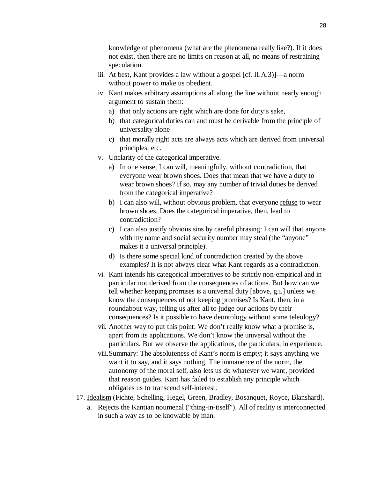knowledge of phenomena (what are the phenomena really like?). If it does not exist, then there are no limits on reason at all, no means of restraining speculation.

- iii. At best, Kant provides a law without a gospel [cf. II.A.3)]—a norm without power to make us obedient.
- iv. Kant makes arbitrary assumptions all along the line without nearly enough argument to sustain them:
	- a) that only actions are right which are done for duty's sake,
	- b) that categorical duties can and must be derivable from the principle of universality alone
	- c) that morally right acts are always acts which are derived from universal principles, etc.
- v. Unclarity of the categorical imperative.
	- a) In one sense, I can will, meaningfully, without contradiction, that everyone wear brown shoes. Does that mean that we have a duty to wear brown shoes? If so, may any number of trivial duties be derived from the categorical imperative?
	- b) I can also will, without obvious problem, that everyone refuse to wear brown shoes. Does the categorical imperative, then, lead to contradiction?
	- c) I can also justify obvious sins by careful phrasing: I can will that anyone with my name and social security number may steal (the "anyone" makes it a universal principle).
	- d) Is there some special kind of contradiction created by the above examples? It is not always clear what Kant regards as a contradiction.
- vi. Kant intends his categorical imperatives to be strictly non-empirical and in particular not derived from the consequences of actions. But how can we tell whether keeping promises is a universal duty [above, g.i.] unless we know the consequences of not keeping promises? Is Kant, then, in a roundabout way, telling us after all to judge our actions by their consequences? Is it possible to have deontology without some teleology?
- vii. Another way to put this point: We don't really know what a promise is, apart from its applications. We don't know the universal without the particulars. But we observe the applications, the particulars, in experience.
- viii. Summary: The absoluteness of Kant's norm is empty; it says anything we want it to say, and it says nothing. The immanence of the norm, the autonomy of the moral self, also lets us do whatever we want, provided that reason guides. Kant has failed to establish any principle which obligates us to transcend self-interest.
- 17. Idealism (Fichte, Schelling, Hegel, Green, Bradley, Bosanquet, Royce, Blanshard).
	- a. Rejects the Kantian noumenal ("thing-in-itself"). All of reality is interconnected in such a way as to be knowable by man.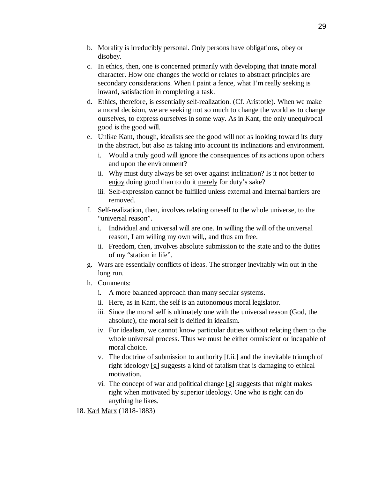- b. Morality is irreducibly personal. Only persons have obligations, obey or disobey.
- c. In ethics, then, one is concerned primarily with developing that innate moral character. How one changes the world or relates to abstract principles are secondary considerations. When I paint a fence, what I'm really seeking is inward, satisfaction in completing a task.
- d. Ethics, therefore, is essentially self-realization. (Cf. Aristotle). When we make a moral decision, we are seeking not so much to change the world as to change ourselves, to express ourselves in some way. As in Kant, the only unequivocal good is the good will.
- e. Unlike Kant, though, idealists see the good will not as looking toward its duty in the abstract, but also as taking into account its inclinations and environment.
	- i. Would a truly good will ignore the consequences of its actions upon others and upon the environment?
	- ii. Why must duty always be set over against inclination? Is it not better to enjoy doing good than to do it merely for duty's sake?
	- iii. Self-expression cannot be fulfilled unless external and internal barriers are removed.
- f. Self-realization, then, involves relating oneself to the whole universe, to the "universal reason".
	- i. Individual and universal will are one. In willing the will of the universal reason, I am willing my own will,, and thus am free.
	- ii. Freedom, then, involves absolute submission to the state and to the duties of my "station in life".
- g. Wars are essentially conflicts of ideas. The stronger inevitably win out in the long run.
- h. Comments:
	- i. A more balanced approach than many secular systems.
	- ii. Here, as in Kant, the self is an autonomous moral legislator.
	- iii. Since the moral self is ultimately one with the universal reason (God, the absolute), the moral self is deified in idealism.
	- iv. For idealism, we cannot know particular duties without relating them to the whole universal process. Thus we must be either omniscient or incapable of moral choice.
	- v. The doctrine of submission to authority [f.ii.] and the inevitable triumph of right ideology [g] suggests a kind of fatalism that is damaging to ethical motivation.
	- vi. The concept of war and political change [g] suggests that might makes right when motivated by superior ideology. One who is right can do anything he likes.
- 18. Karl Marx (1818-1883)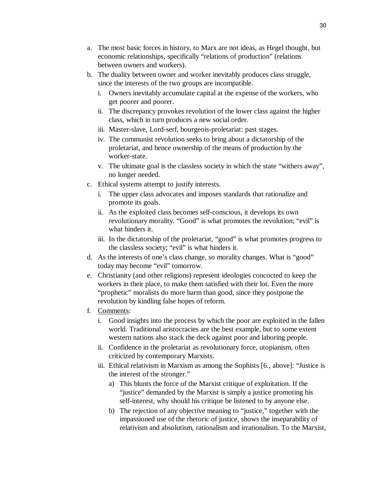- a. The most basic forces in history, to Marx are not ideas, as Hegel thought, but economic relationships, specifically "relations of production" (relations between owners and workers).
- b. The duality between owner and worker inevitably produces class struggle, since the interests of the two groups are incompatible.
	- i. Owners inevitably accumulate capital at the expense of the workers, who get poorer and poorer.
	- ii. The discrepancy provokes revolution of the lower class against the higher class, which in turn produces a new social order.
	- iii. Master-slave, Lord-serf, bourgeois-proletariat: past stages.
	- iv. The communist revolution seeks to bring about a dictatorship of the proletariat, and hence ownership of the means of production by the worker-state.
	- v. The ultimate goal is the classless society in which the state "withers away", no longer needed.
- c. Ethical systems attempt to justify interests.
	- i. The upper class advocates and imposes standards that rationalize and promote its goals.
	- ii. As the exploited class becomes self-conscious, it develops its own revolutionary morality. "Good" is what promotes the revolution; "evil" is what hinders it.
	- iii. In the dictatorship of the proletariat, "good" is what promotes progress to the classless society; "evil" is what hinders it.
- d. As the interests of one's class change, so morality changes. What is "good" today may become "evil" tomorrow.
- e. Christianity (and other religions) represent ideologies concocted to keep the workers in their place, to make them satisfied with their lot. Even the more "prophetic" moralists do more harm than good, since they postpone the revolution by kindling false hopes of reform.
- f. Comments:
	- i. Good insights into the process by which the poor are exploited in the fallen world. Traditional aristocracies are the best example, but to some extent western nations also stack the deck against poor and laboring people.
	- ii. Confidence in the proletariat as revolutionary force, utopianism, often criticized by contemporary Marxists.
	- iii. Ethical relativism in Marxism as among the Sophists [6., above]: "Justice is the interest of the stronger."
		- a) This blunts the force of the Marxist critique of exploitation. If the "justice" demanded by the Marxist is simply a justice promoting his self-interest, why should his critique be listened to by anyone else.
		- b) The rejection of any objective meaning to "justice," together with the impassioned use of the rhetoric of justice, shows the inseparability of relativism and absolutism, rationalism and irrationalism. To the Marxist,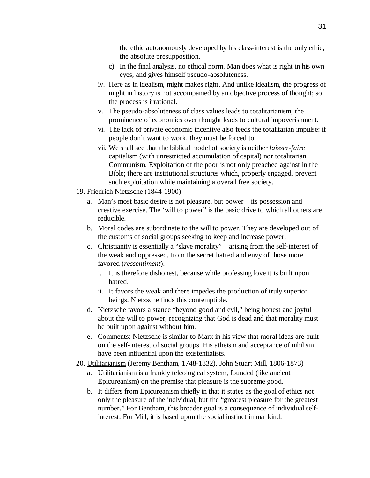the ethic autonomously developed by his class-interest is the only ethic, the absolute presupposition.

- c) In the final analysis, no ethical norm. Man does what is right in his own eyes, and gives himself pseudo-absoluteness.
- iv. Here as in idealism, might makes right. And unlike idealism, the progress of might in history is not accompanied by an objective process of thought; so the process is irrational.
- v. The pseudo-absoluteness of class values leads to totalitarianism; the prominence of economics over thought leads to cultural impoverishment.
- vi. The lack of private economic incentive also feeds the totalitarian impulse: if people don't want to work, they must be forced to.
- vii. We shall see that the biblical model of society is neither *laissez-faire* capitalism (with unrestricted accumulation of capital) nor totalitarian Communism. Exploitation of the poor is not only preached against in the Bible; there are institutional structures which, properly engaged, prevent such exploitation while maintaining a overall free society.
- 19. Friedrich Nietzsche (1844-1900)
	- a. Man's most basic desire is not pleasure, but power—its possession and creative exercise. The 'will to power" is the basic drive to which all others are reducible.
	- b. Moral codes are subordinate to the will to power. They are developed out of the customs of social groups seeking to keep and increase power.
	- c. Christianity is essentially a "slave morality"—arising from the self-interest of the weak and oppressed, from the secret hatred and envy of those more favored (*ressentiment*).
		- i. It is therefore dishonest, because while professing love it is built upon hatred.
		- ii. It favors the weak and there impedes the production of truly superior beings. Nietzsche finds this contemptible.
	- d. Nietzsche favors a stance "beyond good and evil," being honest and joyful about the will to power, recognizing that God is dead and that morality must be built upon against without him.
	- e. Comments: Nietzsche is similar to Marx in his view that moral ideas are built on the self-interest of social groups. His atheism and acceptance of nihilism have been influential upon the existentialists.
- 20. Utilitarianism (Jeremy Bentham, 1748-1832), John Stuart Mill, 1806-1873)
	- a. Utilitarianism is a frankly teleological system, founded (like ancient Epicureanism) on the premise that pleasure is the supreme good.
	- b. It differs from Epicureanism chiefly in that it states as the goal of ethics not only the pleasure of the individual, but the "greatest pleasure for the greatest number." For Bentham, this broader goal is a consequence of individual selfinterest. For Mill, it is based upon the social instinct in mankind.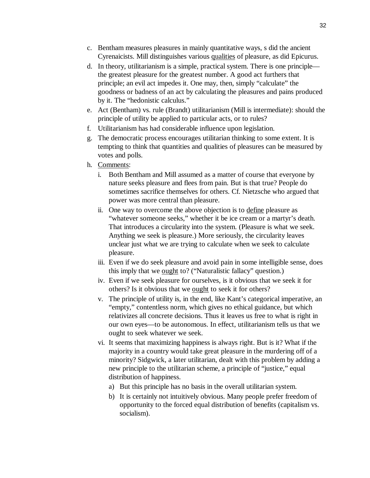- c. Bentham measures pleasures in mainly quantitative ways, s did the ancient Cyrenaicists. Mill distinguishes various qualities of pleasure, as did Epicurus.
- d. In theory, utilitarianism is a simple, practical system. There is one principle the greatest pleasure for the greatest number. A good act furthers that principle; an evil act impedes it. One may, then, simply "calculate" the goodness or badness of an act by calculating the pleasures and pains produced by it. The "hedonistic calculus."
- e. Act (Bentham) vs. rule (Brandt) utilitarianism (Mill is intermediate): should the principle of utility be applied to particular acts, or to rules?
- f. Utilitarianism has had considerable influence upon legislation.
- g. The democratic process encourages utilitarian thinking to some extent. It is tempting to think that quantities and qualities of pleasures can be measured by votes and polls.
- h. Comments:
	- i. Both Bentham and Mill assumed as a matter of course that everyone by nature seeks pleasure and flees from pain. But is that true? People do sometimes sacrifice themselves for others. Cf. Nietzsche who argued that power was more central than pleasure.
	- ii. One way to overcome the above objection is to define pleasure as "whatever someone seeks," whether it be ice cream or a martyr's death. That introduces a circularity into the system. (Pleasure is what we seek. Anything we seek is pleasure.) More seriously, the circularity leaves unclear just what we are trying to calculate when we seek to calculate pleasure.
	- iii. Even if we do seek pleasure and avoid pain in some intelligible sense, does this imply that we <u>ought</u> to? ("Naturalistic fallacy" question.)
	- iv. Even if we seek pleasure for ourselves, is it obvious that we seek it for others? Is it obvious that we ought to seek it for others?
	- v. The principle of utility is, in the end, like Kant's categorical imperative, an "empty," contentless norm, which gives no ethical guidance, but which relativizes all concrete decisions. Thus it leaves us free to what is right in our own eyes—to be autonomous. In effect, utilitarianism tells us that we ought to seek whatever we seek.
	- vi. It seems that maximizing happiness is always right. But is it? What if the majority in a country would take great pleasure in the murdering off of a minority? Sidgwick, a later utilitarian, dealt with this problem by adding a new principle to the utilitarian scheme, a principle of "justice," equal distribution of happiness.
		- a) But this principle has no basis in the overall utilitarian system.
		- b) It is certainly not intuitively obvious. Many people prefer freedom of opportunity to the forced equal distribution of benefits (capitalism vs. socialism).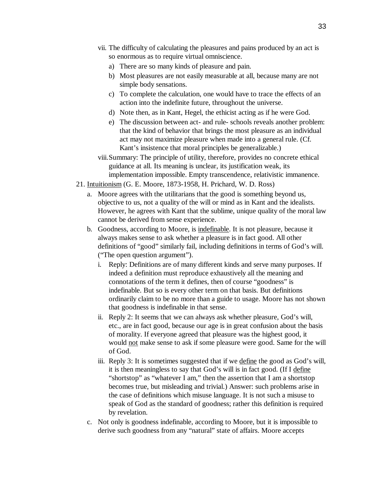- vii. The difficulty of calculating the pleasures and pains produced by an act is so enormous as to require virtual omniscience.
	- a) There are so many kinds of pleasure and pain.
	- b) Most pleasures are not easily measurable at all, because many are not simple body sensations.
	- c) To complete the calculation, one would have to trace the effects of an action into the indefinite future, throughout the universe.
	- d) Note then, as in Kant, Hegel, the ethicist acting as if he were God.
	- e) The discussion between act- and rule- schools reveals another problem: that the kind of behavior that brings the most pleasure as an individual act may not maximize pleasure when made into a general rule. (Cf. Kant's insistence that moral principles be generalizable.)
- viii. Summary: The principle of utility, therefore, provides no concrete ethical guidance at all. Its meaning is unclear, its justification weak, its implementation impossible. Empty transcendence, relativistic immanence.
- 21. Intuitionism (G. E. Moore, 1873-1958, H. Prichard, W. D. Ross)
	- a. Moore agrees with the utilitarians that the good is something beyond us, objective to us, not a quality of the will or mind as in Kant and the idealists. However, he agrees with Kant that the sublime, unique quality of the moral law cannot be derived from sense experience.
	- b. Goodness, according to Moore, is indefinable. It is not pleasure, because it always makes sense to ask whether a pleasure is in fact good. All other definitions of "good" similarly fail, including definitions in terms of God's will. ("The open question argument").
		- i. Reply: Definitions are of many different kinds and serve many purposes. If indeed a definition must reproduce exhaustively all the meaning and connotations of the term it defines, then of course "goodness" is indefinable. But so is every other term on that basis. But definitions ordinarily claim to be no more than a guide to usage. Moore has not shown that goodness is indefinable in that sense.
		- ii. Reply 2: It seems that we can always ask whether pleasure, God's will, etc., are in fact good, because our age is in great confusion about the basis of morality. If everyone agreed that pleasure was the highest good, it would not make sense to ask if some pleasure were good. Same for the will of God.
		- iii. Reply 3: It is sometimes suggested that if we define the good as God's will, it is then meaningless to say that God's will is in fact good. (If I define "shortstop" as "whatever I am," then the assertion that I am a shortstop becomes true, but misleading and trivial.) Answer: such problems arise in the case of definitions which misuse language. It is not such a misuse to speak of God as the standard of goodness; rather this definition is required by revelation.
	- c. Not only is goodness indefinable, according to Moore, but it is impossible to derive such goodness from any "natural" state of affairs. Moore accepts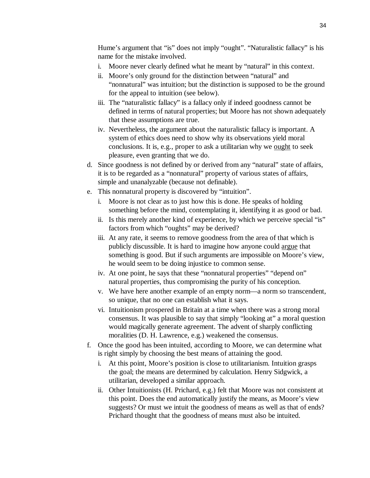Hume's argument that "is" does not imply "ought". "Naturalistic fallacy" is his name for the mistake involved.

- i. Moore never clearly defined what he meant by "natural" in this context.
- ii. Moore's only ground for the distinction between "natural" and "nonnatural" was intuition; but the distinction is supposed to be the ground for the appeal to intuition (see below).
- iii. The "naturalistic fallacy" is a fallacy only if indeed goodness cannot be defined in terms of natural properties; but Moore has not shown adequately that these assumptions are true.
- iv. Nevertheless, the argument about the naturalistic fallacy is important. A system of ethics does need to show why its observations yield moral conclusions. It is, e.g., proper to ask a utilitarian why we ought to seek pleasure, even granting that we do.
- d. Since goodness is not defined by or derived from any "natural" state of affairs, it is to be regarded as a "nonnatural" property of various states of affairs, simple and unanalyzable (because not definable).
- e. This nonnatural property is discovered by "intuition".
	- i. Moore is not clear as to just how this is done. He speaks of holding something before the mind, contemplating it, identifying it as good or bad.
	- ii. Is this merely another kind of experience, by which we perceive special "is" factors from which "oughts" may be derived?
	- iii. At any rate, it seems to remove goodness from the area of that which is publicly discussible. It is hard to imagine how anyone could argue that something is good. But if such arguments are impossible on Moore's view, he would seem to be doing injustice to common sense.
	- iv. At one point, he says that these "nonnatural properties" "depend on" natural properties, thus compromising the purity of his conception.
	- v. We have here another example of an empty norm—a norm so transcendent, so unique, that no one can establish what it says.
	- vi. Intuitionism prospered in Britain at a time when there was a strong moral consensus. It was plausible to say that simply "looking at" a moral question would magically generate agreement. The advent of sharply conflicting moralities (D. H. Lawrence, e.g.) weakened the consensus.
- f. Once the good has been intuited, according to Moore, we can determine what is right simply by choosing the best means of attaining the good.
	- i. At this point, Moore's position is close to utilitarianism. Intuition grasps the goal; the means are determined by calculation. Henry Sidgwick, a utilitarian, developed a similar approach.
	- ii. Other Intuitionists (H. Prichard, e.g.) felt that Moore was not consistent at this point. Does the end automatically justify the means, as Moore's view suggests? Or must we intuit the goodness of means as well as that of ends? Prichard thought that the goodness of means must also be intuited.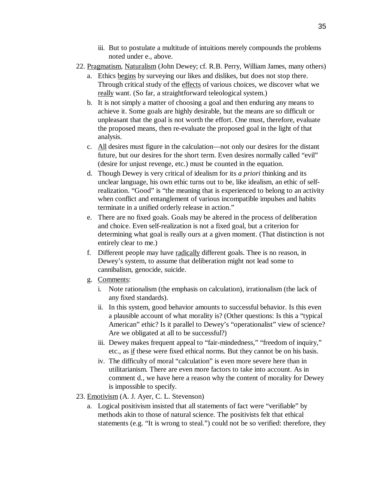- iii. But to postulate a multitude of intuitions merely compounds the problems noted under e., above.
- 22. Pragmatism, Naturalism (John Dewey; cf. R.B. Perry, William James, many others)
	- a. Ethics begins by surveying our likes and dislikes, but does not stop there. Through critical study of the effects of various choices, we discover what we really want. (So far, a straightforward teleological system.)
	- b. It is not simply a matter of choosing a goal and then enduring any means to achieve it. Some goals are highly desirable, but the means are so difficult or unpleasant that the goal is not worth the effort. One must, therefore, evaluate the proposed means, then re-evaluate the proposed goal in the light of that analysis.
	- c. All desires must figure in the calculation—not only our desires for the distant future, but our desires for the short term. Even desires normally called "evil" (desire for unjust revenge, etc.) must be counted in the equation.
	- d. Though Dewey is very critical of idealism for its *a priori* thinking and its unclear language, his own ethic turns out to be, like idealism, an ethic of selfrealization. "Good" is "the meaning that is experienced to belong to an activity when conflict and entanglement of various incompatible impulses and habits terminate in a unified orderly release in action."
	- e. There are no fixed goals. Goals may be altered in the process of deliberation and choice. Even self-realization is not a fixed goal, but a criterion for determining what goal is really ours at a given moment. (That distinction is not entirely clear to me.)
	- f. Different people may have radically different goals. Thee is no reason, in Dewey's system, to assume that deliberation might not lead some to cannibalism, genocide, suicide.
	- g. Comments:
		- i. Note rationalism (the emphasis on calculation), irrationalism (the lack of any fixed standards).
		- ii. In this system, good behavior amounts to successful behavior. Is this even a plausible account of what morality is? (Other questions: Is this a "typical American" ethic? Is it parallel to Dewey's "operationalist" view of science? Are we obligated at all to be successful?)
		- iii. Dewey makes frequent appeal to "fair-mindedness," "freedom of inquiry," etc., as if these were fixed ethical norms. But they cannot be on his basis.
		- iv. The difficulty of moral "calculation" is even more severe here than in utilitarianism. There are even more factors to take into account. As in comment d., we have here a reason why the content of morality for Dewey is impossible to specify.
- 23. Emotivism (A. J. Ayer, C. L. Stevenson)
	- a. Logical positivism insisted that all statements of fact were "verifiable" by methods akin to those of natural science. The positivists felt that ethical statements (e.g. "It is wrong to steal.") could not be so verified: therefore, they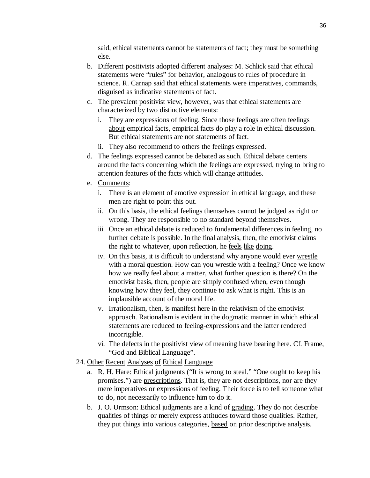said, ethical statements cannot be statements of fact; they must be something else.

- b. Different positivists adopted different analyses: M. Schlick said that ethical statements were "rules" for behavior, analogous to rules of procedure in science. R. Carnap said that ethical statements were imperatives, commands, disguised as indicative statements of fact.
- c. The prevalent positivist view, however, was that ethical statements are characterized by two distinctive elements:
	- i. They are expressions of feeling. Since those feelings are often feelings about empirical facts, empirical facts do play a role in ethical discussion. But ethical statements are not statements of fact.
	- ii. They also recommend to others the feelings expressed.
- d. The feelings expressed cannot be debated as such. Ethical debate centers around the facts concerning which the feelings are expressed, trying to bring to attention features of the facts which will change attitudes.
- e. Comments:
	- i. There is an element of emotive expression in ethical language, and these men are right to point this out.
	- ii. On this basis, the ethical feelings themselves cannot be judged as right or wrong. They are responsible to no standard beyond themselves.
	- iii. Once an ethical debate is reduced to fundamental differences in feeling, no further debate is possible. In the final analysis, then, the emotivist claims the right to whatever, upon reflection, he feels like doing.
	- iv. On this basis, it is difficult to understand why anyone would ever wrestle with a moral question. How can you wrestle with a feeling? Once we know how we really feel about a matter, what further question is there? On the emotivist basis, then, people are simply confused when, even though knowing how they feel, they continue to ask what is right. This is an implausible account of the moral life.
	- v. Irrationalism, then, is manifest here in the relativism of the emotivist approach. Rationalism is evident in the dogmatic manner in which ethical statements are reduced to feeling-expressions and the latter rendered incorrigible.
	- vi. The defects in the positivist view of meaning have bearing here. Cf. Frame, "God and Biblical Language".
- 24. Other Recent Analyses of Ethical Language
	- a. R. H. Hare: Ethical judgments ("It is wrong to steal." "One ought to keep his promises.") are prescriptions. That is, they are not descriptions, nor are they mere imperatives or expressions of feeling. Their force is to tell someone what to do, not necessarily to influence him to do it.
	- b. J. O. Urmson: Ethical judgments are a kind of grading. They do not describe qualities of things or merely express attitudes toward those qualities. Rather, they put things into various categories, based on prior descriptive analysis.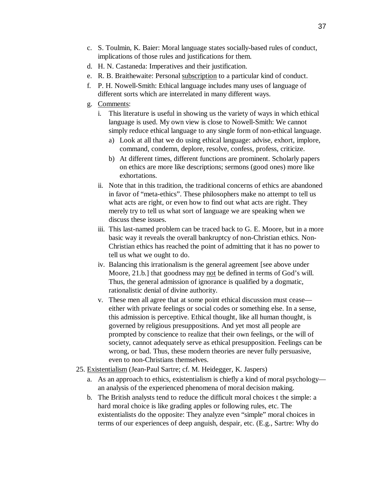- c. S. Toulmin, K. Baier: Moral language states socially-based rules of conduct, implications of those rules and justifications for them.
- d. H. N. Castaneda: Imperatives and their justification.
- e. R. B. Braithewaite: Personal subscription to a particular kind of conduct.
- f. P. H. Nowell-Smith: Ethical language includes many uses of language of different sorts which are interrelated in many different ways.
- g. Comments:
	- i. This literature is useful in showing us the variety of ways in which ethical language is used. My own view is close to Nowell-Smith: We cannot simply reduce ethical language to any single form of non-ethical language.
		- a) Look at all that we do using ethical language: advise, exhort, implore, command, condemn, deplore, resolve, confess, profess, criticize.
		- b) At different times, different functions are prominent. Scholarly papers on ethics are more like descriptions; sermons (good ones) more like exhortations.
	- ii. Note that in this tradition, the traditional concerns of ethics are abandoned in favor of "meta-ethics". These philosophers make no attempt to tell us what acts are right, or even how to find out what acts are right. They merely try to tell us what sort of language we are speaking when we discuss these issues.
	- iii. This last-named problem can be traced back to G. E. Moore, but in a more basic way it reveals the overall bankruptcy of non-Christian ethics. Non-Christian ethics has reached the point of admitting that it has no power to tell us what we ought to do.
	- iv. Balancing this irrationalism is the general agreement [see above under Moore, 21.b.] that goodness may not be defined in terms of God's will. Thus, the general admission of ignorance is qualified by a dogmatic, rationalistic denial of divine authority.
	- v. These men all agree that at some point ethical discussion must cease either with private feelings or social codes or something else. In a sense, this admission is perceptive. Ethical thought, like all human thought, is governed by religious presuppositions. And yet most all people are prompted by conscience to realize that their own feelings, or the will of society, cannot adequately serve as ethical presupposition. Feelings can be wrong, or bad. Thus, these modern theories are never fully persuasive, even to non-Christians themselves.
- 25. Existentialism (Jean-Paul Sartre; cf. M. Heidegger, K. Jaspers)
	- a. As an approach to ethics, existentialism is chiefly a kind of moral psychology an analysis of the experienced phenomena of moral decision making.
	- b. The British analysts tend to reduce the difficult moral choices t the simple: a hard moral choice is like grading apples or following rules, etc. The existentialists do the opposite: They analyze even "simple" moral choices in terms of our experiences of deep anguish, despair, etc. (E.g., Sartre: Why do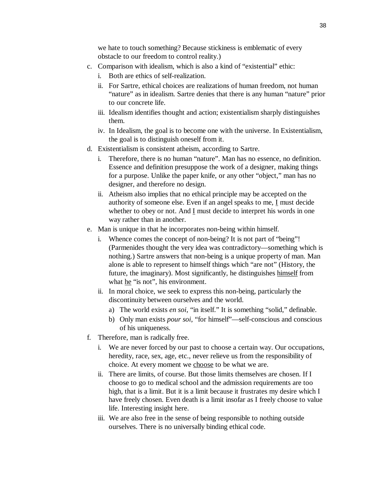we hate to touch something? Because stickiness is emblematic of every obstacle to our freedom to control reality.)

- c. Comparison with idealism, which is also a kind of "existential" ethic:
	- i. Both are ethics of self-realization.
	- ii. For Sartre, ethical choices are realizations of human freedom, not human "nature" as in idealism. Sartre denies that there is any human "nature" prior to our concrete life.
	- iii. Idealism identifies thought and action; existentialism sharply distinguishes them.
	- iv. In Idealism, the goal is to become one with the universe. In Existentialism, the goal is to distinguish oneself from it.
- d. Existentialism is consistent atheism, according to Sartre.
	- i. Therefore, there is no human "nature". Man has no essence, no definition. Essence and definition presuppose the work of a designer, making things for a purpose. Unlike the paper knife, or any other "object," man has no designer, and therefore no design.
	- ii. Atheism also implies that no ethical principle may be accepted on the authority of someone else. Even if an angel speaks to me, I must decide whether to obey or not. And I must decide to interpret his words in one way rather than in another.
- e. Man is unique in that he incorporates non-being within himself.
	- i. Whence comes the concept of non-being? It is not part of "being"! (Parmenides thought the very idea was contradictory—something which is nothing.) Sartre answers that non-being is a unique property of man. Man alone is able to represent to himself things which "are not" (History, the future, the imaginary). Most significantly, he distinguishes himself from what he "is not", his environment.
	- ii. In moral choice, we seek to express this non-being, particularly the discontinuity between ourselves and the world.
		- a) The world exists *en soi*, "in itself." It is something "solid," definable.
		- b) Only man exists *pour soi*, "for himself"—self-conscious and conscious of his uniqueness.
- f. Therefore, man is radically free.
	- i. We are never forced by our past to choose a certain way. Our occupations, heredity, race, sex, age, etc., never relieve us from the responsibility of choice. At every moment we choose to be what we are.
	- ii. There are limits, of course. But those limits themselves are chosen. If I choose to go to medical school and the admission requirements are too high, that is a limit. But it is a limit because it frustrates my desire which I have freely chosen. Even death is a limit insofar as I freely choose to value life. Interesting insight here.
	- iii. We are also free in the sense of being responsible to nothing outside ourselves. There is no universally binding ethical code.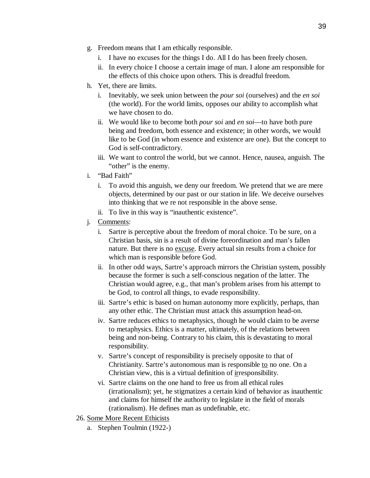- g. Freedom means that I am ethically responsible.
	- i. I have no excuses for the things I do. All I do has been freely chosen.
	- ii. In every choice I choose a certain image of man. I alone am responsible for the effects of this choice upon others. This is dreadful freedom.
- h. Yet, there are limits.
	- i. Inevitably, we seek union between the *pour soi* (ourselves) and the *en soi* (the world). For the world limits, opposes our ability to accomplish what we have chosen to do.
	- ii. We would like to become both *pour soi* and *en soi*—to have both pure being and freedom, both essence and existence; in other words, we would like to be God (in whom essence and existence are one). But the concept to God is self-contradictory.
	- iii. We want to control the world, but we cannot. Hence, nausea, anguish. The "other" is the enemy.
- i. "Bad Faith"
	- i. To avoid this anguish, we deny our freedom. We pretend that we are mere objects, determined by our past or our station in life. We deceive ourselves into thinking that we re not responsible in the above sense.
	- ii. To live in this way is "inauthentic existence".
- j. Comments:
	- i. Sartre is perceptive about the freedom of moral choice. To be sure, on a Christian basis, sin is a result of divine foreordination and man's fallen nature. But there is no excuse. Every actual sin results from a choice for which man is responsible before God.
	- ii. In other odd ways, Sartre's approach mirrors the Christian system, possibly because the former is such a self-conscious negation of the latter. The Christian would agree, e.g., that man's problem arises from his attempt to be God, to control all things, to evade responsibility.
	- iii. Sartre's ethic is based on human autonomy more explicitly, perhaps, than any other ethic. The Christian must attack this assumption head-on.
	- iv. Sartre reduces ethics to metaphysics, though he would claim to be averse to metaphysics. Ethics is a matter, ultimately, of the relations between being and non-being. Contrary to his claim, this is devastating to moral responsibility.
	- v. Sartre's concept of responsibility is precisely opposite to that of Christianity. Sartre's autonomous man is responsible to no one. On a Christian view, this is a virtual definition of irresponsibility.
	- vi. Sartre claims on the one hand to free us from all ethical rules (irrationalism); yet, he stigmatizes a certain kind of behavior as inauthentic and claims for himself the authority to legislate in the field of morals (rationalism). He defines man as undefinable, etc.
- 26. Some More Recent Ethicists
	- a. Stephen Toulmin (1922-)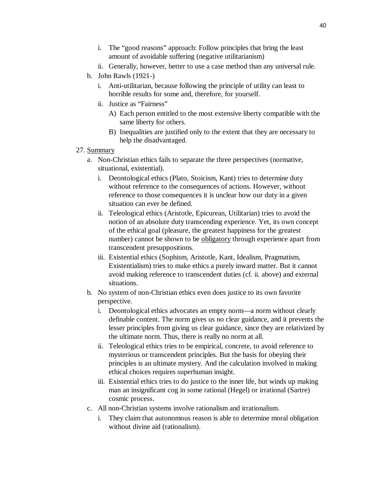- i. The "good reasons" approach: Follow principles that bring the least amount of avoidable suffering (negative utilitarianism)
- ii. Generally, however, better to use a case method than any universal rule.
- b. John Rawls (1921-)
	- i. Anti-utilitarian, because following the principle of utility can least to horrible results for some and, therefore, for yourself.
	- ii. Justice as "Fairness"
		- A) Each person entitled to the most extensive liberty compatible with the same liberty for others.
		- B) Inequalities are justified only to the extent that they are necessary to help the disadvantaged.
- 27. Summary
	- a. Non-Christian ethics fails to separate the three perspectives (normative, situational, existential).
		- i. Deontological ethics (Plato, Stoicism, Kant) tries to determine duty without reference to the consequences of actions. However, without reference to those consequences it is unclear how our duty in a given situation can ever be defined.
		- ii. Teleological ethics (Aristotle, Epicurean, Utilitarian) tries to avoid the notion of an absolute duty transcending experience. Yet, its own concept of the ethical goal (pleasure, the greatest happiness for the greatest number) cannot be shown to be obligatory through experience apart from transcendent presuppositions.
		- iii. Existential ethics (Sophism, Aristotle, Kant, Idealism, Pragmatism, Existentialism) tries to make ethics a purely inward matter. But it cannot avoid making reference to transcendent duties (cf. ii. above) and external situations.
	- b. No system of non-Christian ethics even does justice to its own favorite perspective.
		- i. Deontological ethics advocates an empty norm—a norm without clearly definable content. The norm gives us no clear guidance, and it prevents the lesser principles from giving us clear guidance, since they are relativized by the ultimate norm. Thus, there is really no norm at all.
		- ii. Teleological ethics tries to be empirical, concrete, to avoid reference to mysterious or transcendent principles. But the basis for obeying their principles is an ultimate mystery. And the calculation involved in making ethical choices requires superhuman insight.
		- iii. Existential ethics tries to do justice to the inner life, but winds up making man an insignificant cog in some rational (Hegel) or irrational (Sartre) cosmic process.
	- c. All non-Christian systems involve rationalism and irrationalism.
		- i. They claim that autonomous reason is able to determine moral obligation without divine aid (rationalism).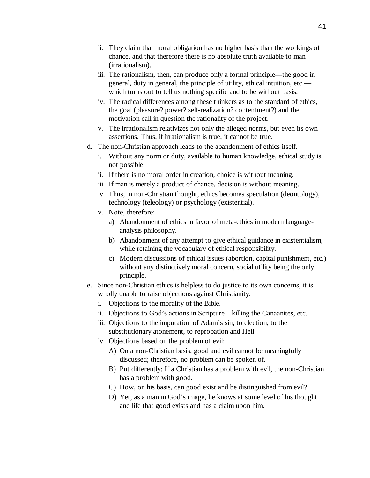- ii. They claim that moral obligation has no higher basis than the workings of chance, and that therefore there is no absolute truth available to man (irrationalism).
- iii. The rationalism, then, can produce only a formal principle—the good in general, duty in general, the principle of utility, ethical intuition, etc. which turns out to tell us nothing specific and to be without basis.
- iv. The radical differences among these thinkers as to the standard of ethics, the goal (pleasure? power? self-realization? contentment?) and the motivation call in question the rationality of the project.
- v. The irrationalism relativizes not only the alleged norms, but even its own assertions. Thus, if irrationalism is true, it cannot be true.
- d. The non-Christian approach leads to the abandonment of ethics itself.
	- i. Without any norm or duty, available to human knowledge, ethical study is not possible.
	- ii. If there is no moral order in creation, choice is without meaning.
	- iii. If man is merely a product of chance, decision is without meaning.
	- iv. Thus, in non-Christian thought, ethics becomes speculation (deontology), technology (teleology) or psychology (existential).
	- v. Note, therefore:
		- a) Abandonment of ethics in favor of meta-ethics in modern languageanalysis philosophy.
		- b) Abandonment of any attempt to give ethical guidance in existentialism, while retaining the vocabulary of ethical responsibility.
		- c) Modern discussions of ethical issues (abortion, capital punishment, etc.) without any distinctively moral concern, social utility being the only principle.
- e. Since non-Christian ethics is helpless to do justice to its own concerns, it is wholly unable to raise objections against Christianity.
	- i. Objections to the morality of the Bible.
	- ii. Objections to God's actions in Scripture—killing the Canaanites, etc.
	- iii. Objections to the imputation of Adam's sin, to election, to the substitutionary atonement, to reprobation and Hell.
	- iv. Objections based on the problem of evil:
		- A) On a non-Christian basis, good and evil cannot be meaningfully discussed; therefore, no problem can be spoken of.
		- B) Put differently: If a Christian has a problem with evil, the non-Christian has a problem with good.
		- C) How, on his basis, can good exist and be distinguished from evil?
		- D) Yet, as a man in God's image, he knows at some level of his thought and life that good exists and has a claim upon him.